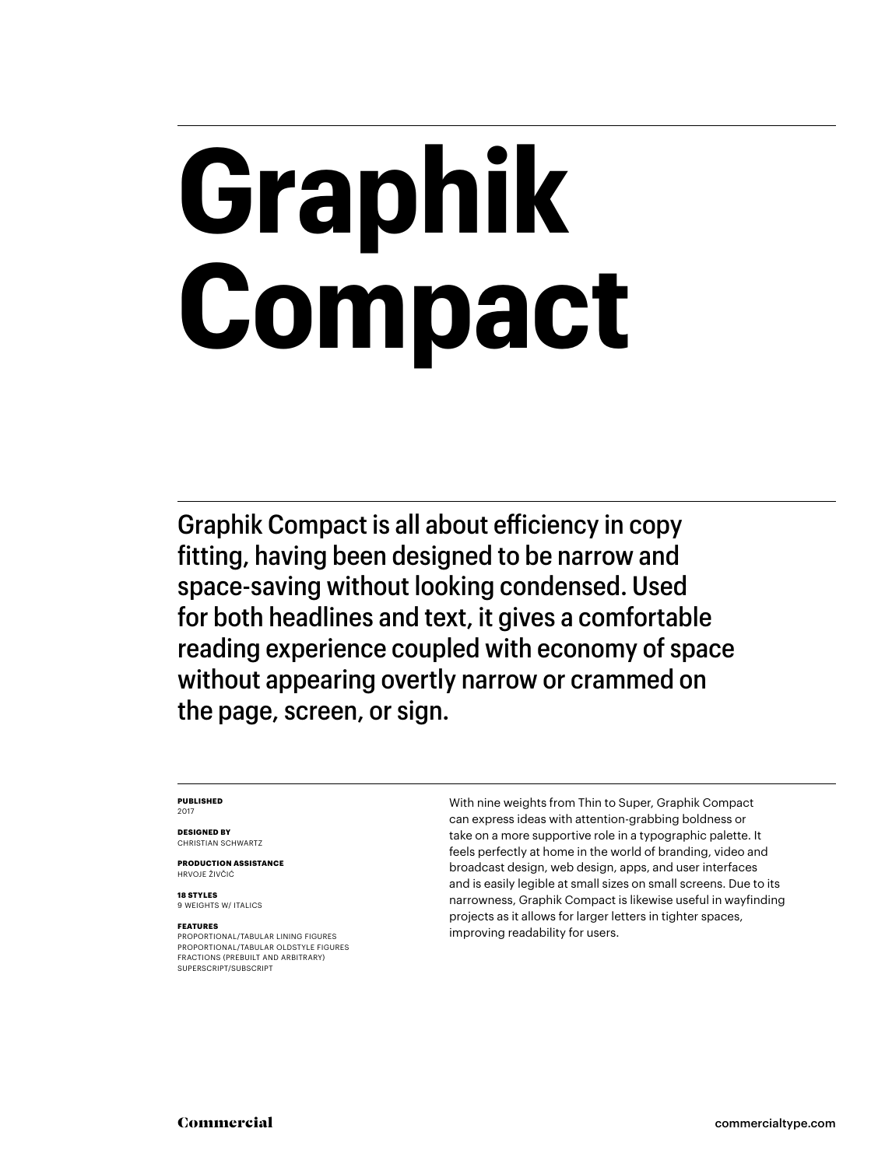# **Graphik Compact**

Graphik Compact is all about efficiency in copy fitting, having been designed to be narrow and space-saving without looking condensed. Used for both headlines and text, it gives a comfortable reading experience coupled with economy of space without appearing overtly narrow or crammed on the page, screen, or sign.

### **PUBLISHED** 2017

**DESIGNED BY** CHRISTIAN SCHWARTZ

**PRODUCTION ASSISTANCE** HRVOJE ŽIVČIĆ

**18 STYLES** 9 WEIGHTS W/ ITALICS

### **FEATURES**

PROPORTIONAL/TABULAR LINING FIGURES PROPORTIONAL/TABULAR OLDSTYLE FIGURES FRACTIONS (PREBUILT AND ARBITRARY) SUPERSCRIPT/SUBSCRIPT

With nine weights from Thin to Super, Graphik Compact can express ideas with attention-grabbing boldness or take on a more supportive role in a typographic palette. It feels perfectly at home in the world of branding, video and broadcast design, web design, apps, and user interfaces and is easily legible at small sizes on small screens. Due to its narrowness, Graphik Compact is likewise useful in wayfinding projects as it allows for larger letters in tighter spaces, improving readability for users.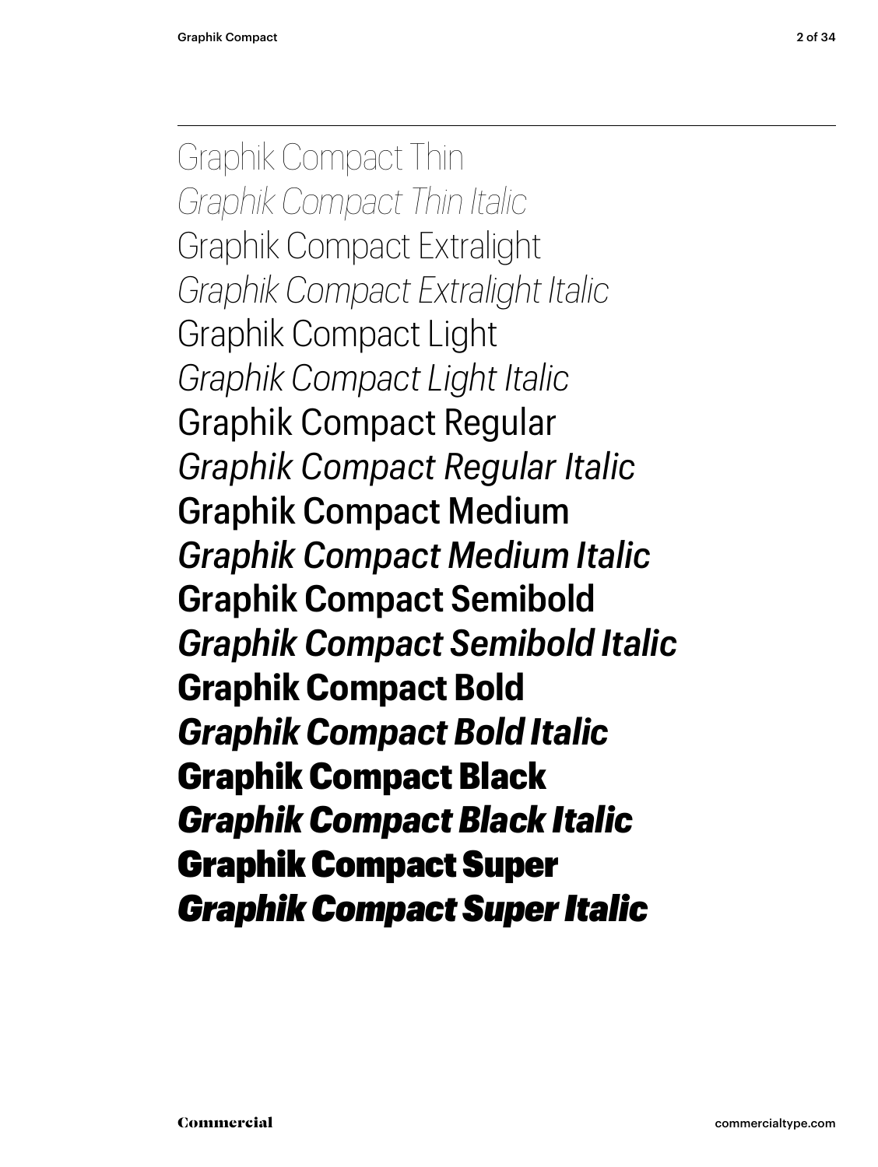Graphik Compact Thin *Graphik Compact Thin Italic* Graphik Compact Extralight *Graphik Compact Extralight Italic* Graphik Compact Light *Graphik Compact Light Italic* Graphik Compact Regular *Graphik Compact Regular Italic* Graphik Compact Medium *Graphik Compact Medium Italic* **Graphik Compact Semibold** *Graphik Compact Semibold Italic* **Graphik Compact Bold** *Graphik Compact Bold Italic* Graphik Compact Black *Graphik Compact Black Italic* Graphik Compact Super *Graphik Compact Super Italic*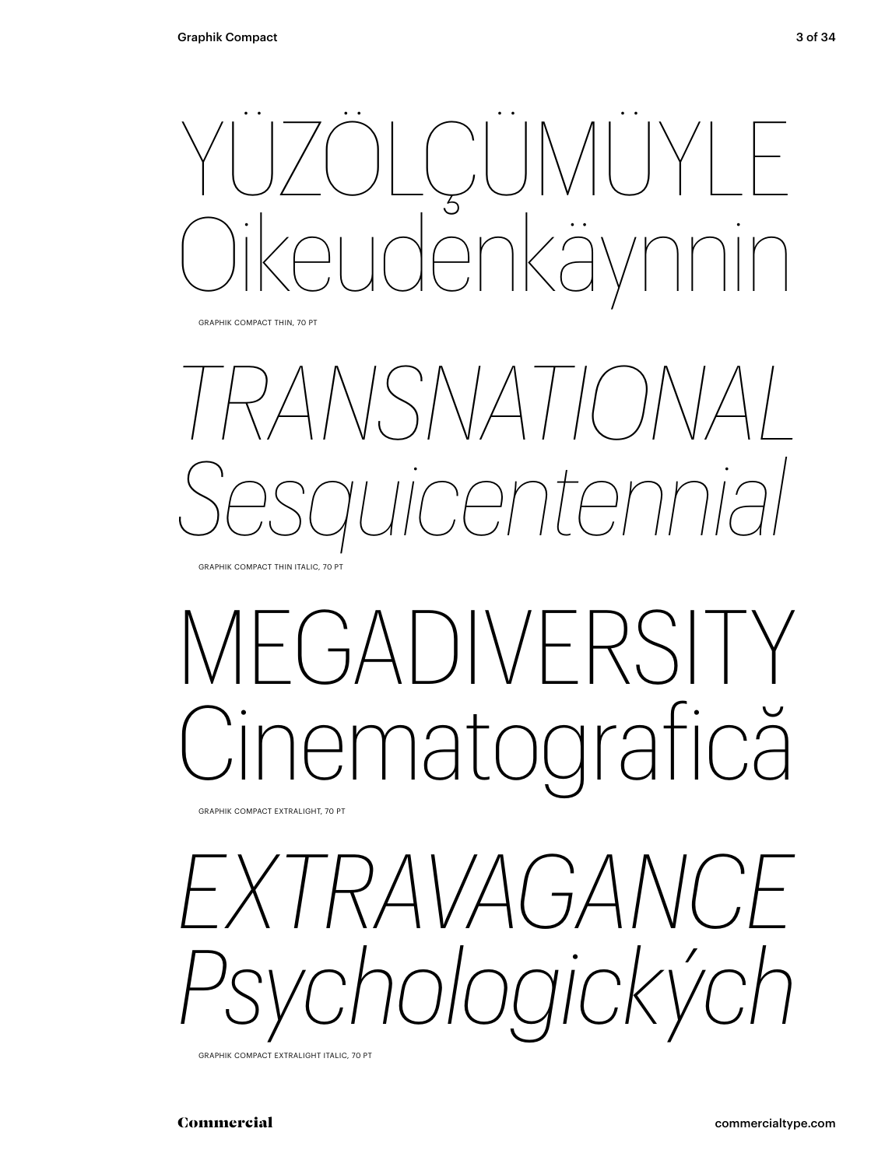

GRAPHIK COMPACT THIN, 70 PT



## -GADIVERSIT Cinematografică

GRAPHIK COMPACT EXTRALIGHT, 70 PT

*EXTRAVAGANCE Psychologických*

GRAPHIK COMPACT EXTRALIGHT ITALIC, 70 PT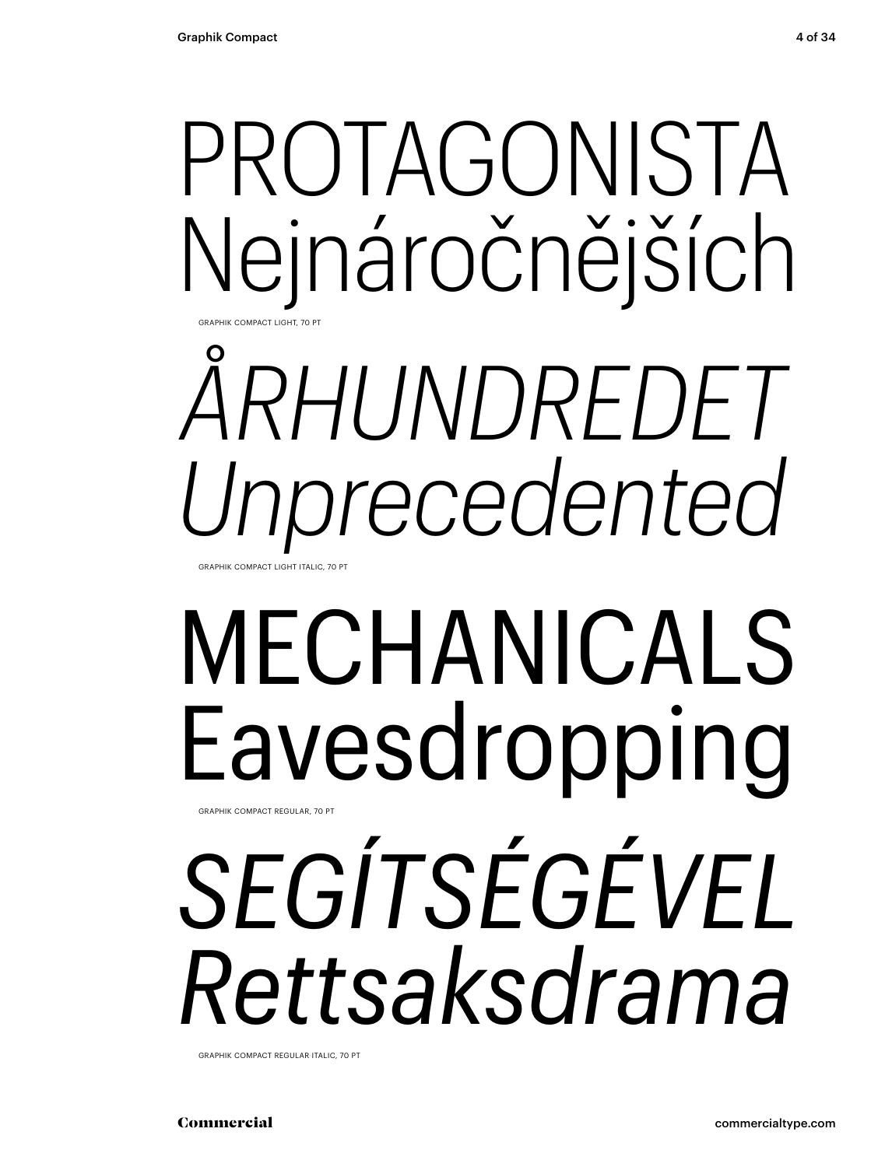### PROTAGONISTA Nejnáročnějších GRAPHIK COMPACT LIGHT, 70 PT

# *ÅRHUNDREDET Unprecedented*

GRAPHIK COMPACT LIGHT ITALIC, 7

## MECHANICALS Eavesdropping

*SEGÍTSÉGÉVEL Rettsaksdrama* GRAPHIK COMPACT REGULAR, 70 PT

GRAPHIK COMPACT REGULAR ITALIC, 70 PT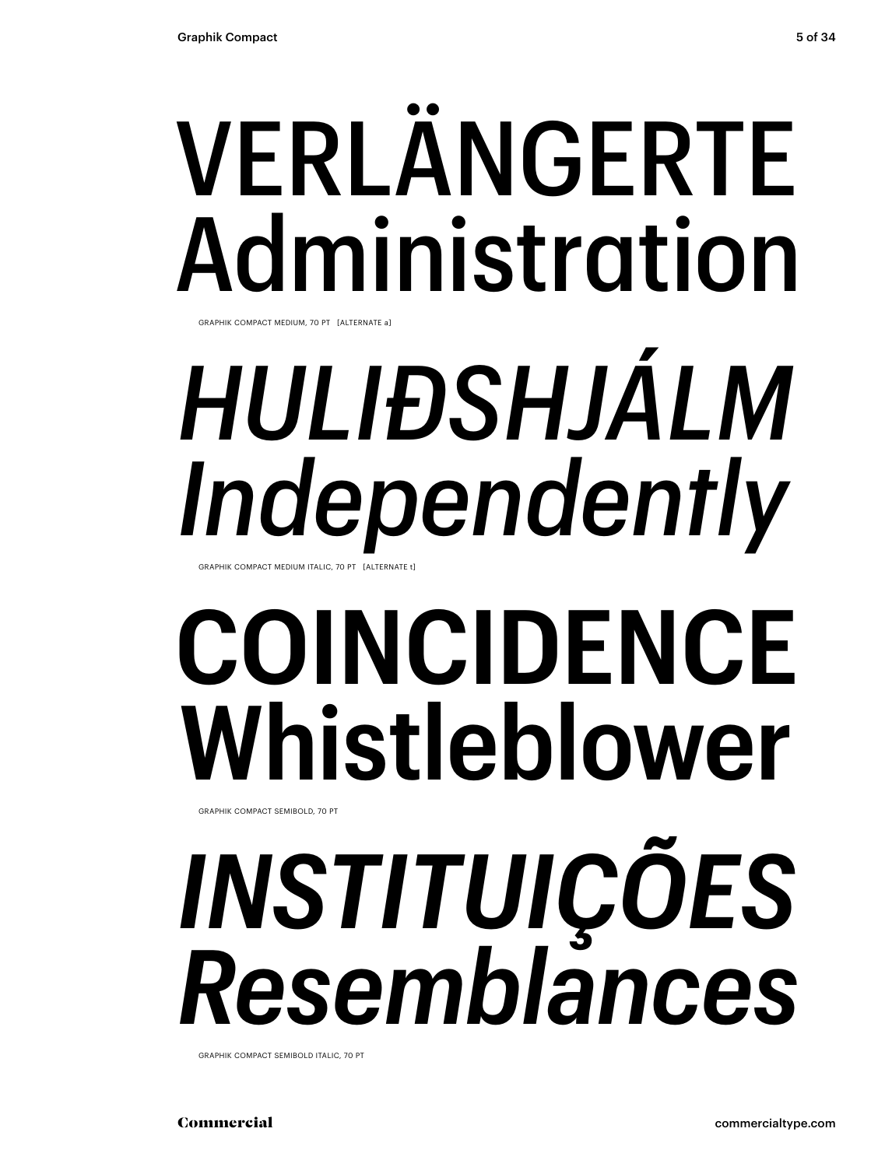# VERLÄNGERTE Administration

GRAPHIK COMPACT MEDIUM, 70 PT [ALTERNATE a]

# *HULIÐSHJÁLM Independently*

GRAPHIK COMPACT MEDIUM ITALIC, 70 PT [ALTERNATE t]

## **COINCIDENCE Whistleblower**

GRAPHIK COMPACT SEMIBOLD, 70 PT

# *INSTITUIÇÕES Resemblances*

GRAPHIK COMPACT SEMIBOLD ITALIC, 70 PT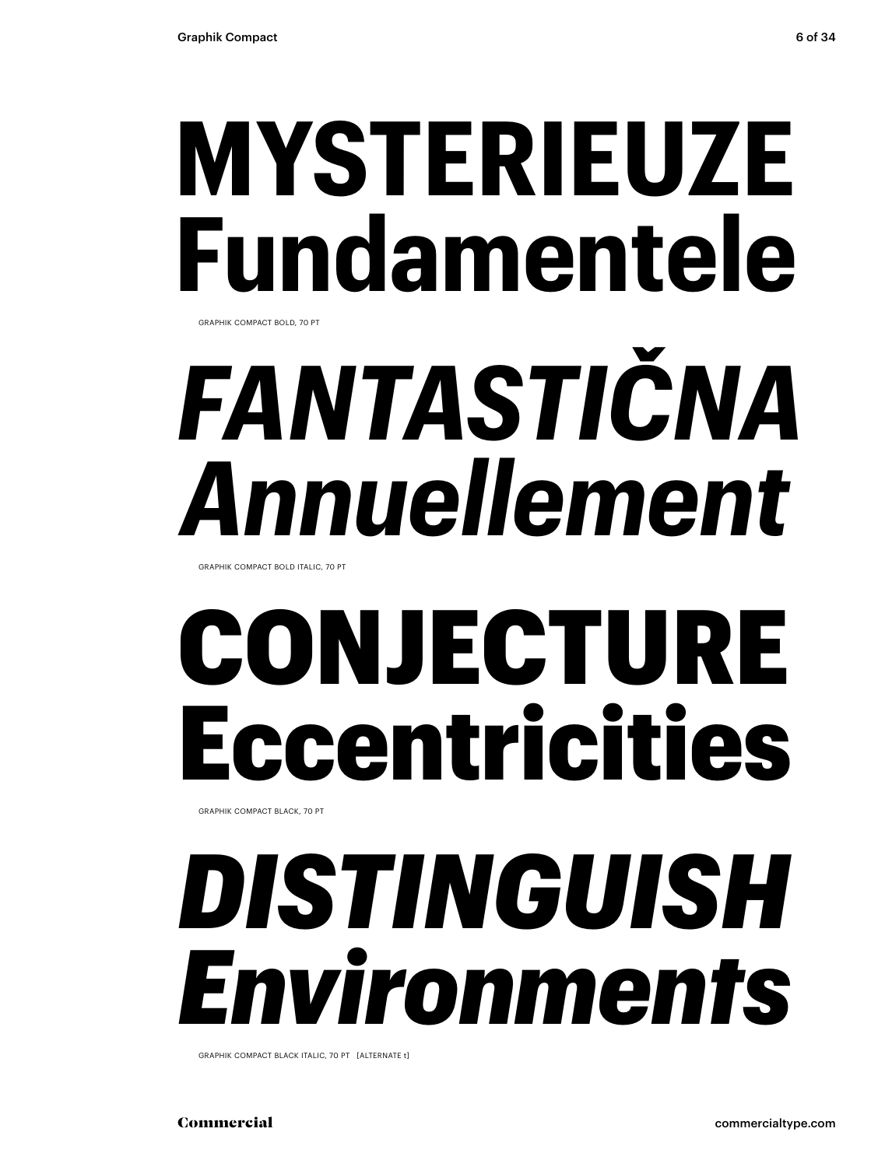### **MYSTERIEUZE Fundamentele** GRAPHIK COMPACT BOLD, 70 PT

# *FANTASTIČNA Annuellement*

GRAPHIK COMPACT BOLD ITALIC, 70 PT

## CONJECTURE Eccentricities

GRAPHIK COMPACT BLACK, 70 PT

## *DISTINGUISH Environments*

GRAPHIK COMPACT BLACK ITALIC, 70 PT [ALTERNATE t]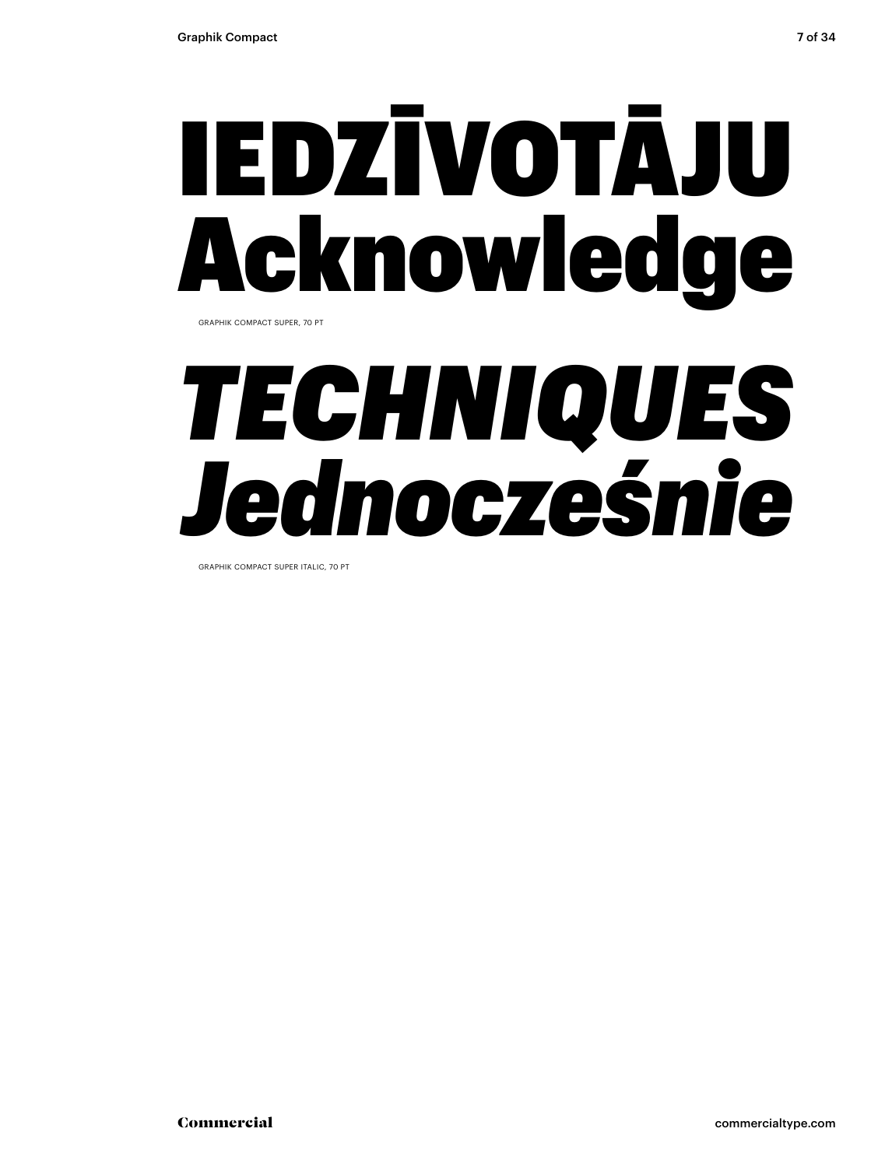# IEDZĪVOTĀJU Acknowledge

GRAPHIK COMPACT SUPER, 70 PT

## *TECHNIQUES Jednocześnie*

GRAPHIK COMPACT SUPER ITALIC, 70 PT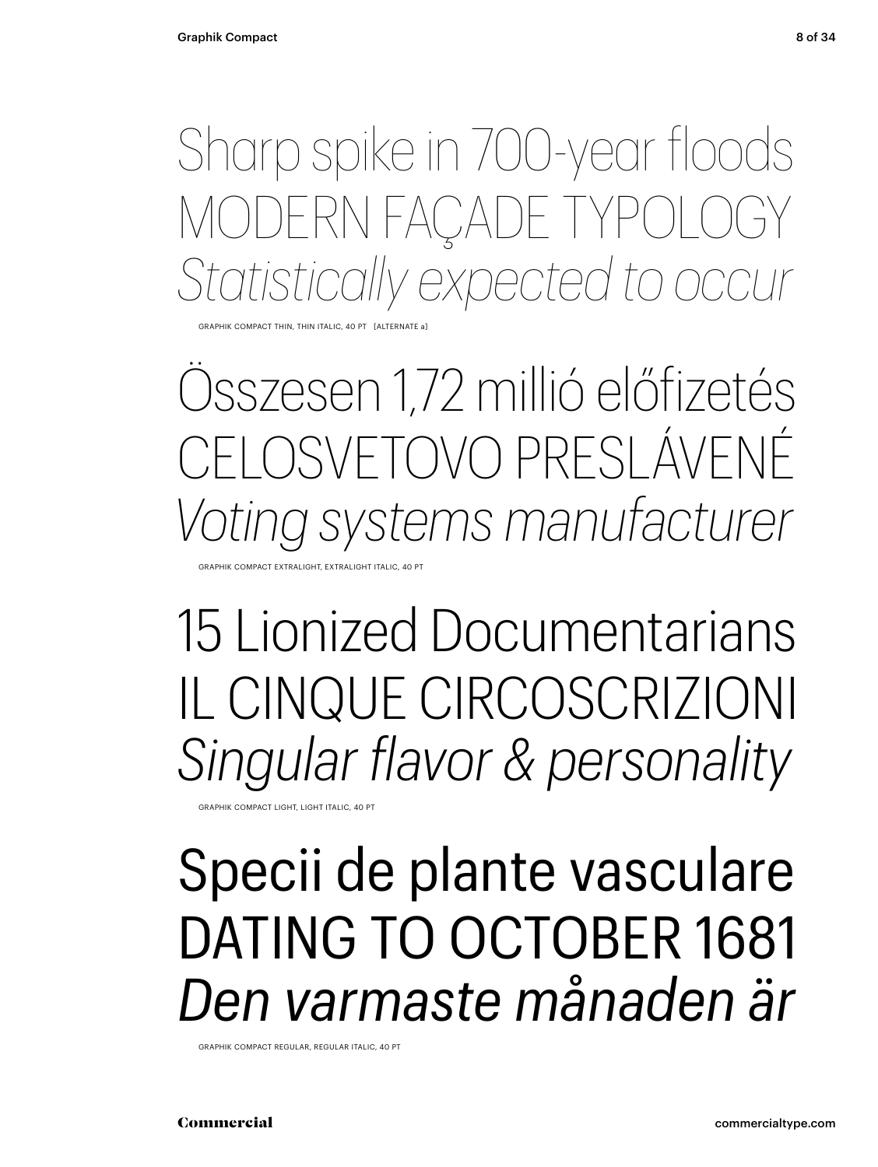Sharp spike in 700-year floods MODERN FAÇADE TYPOLOGY *Statistically expected to occur*

GRAPHIK COMPACT THIN, THIN ITALIC, 40 PT [ALTERNATE a]

Összesen 1,72 millió előfizetés FI OSVETOVO PRESLÁVENÉ *Voting systems manufacturer*

GRAPHIK COMPACT EXTRALIGHT, EXTRALIGHT ITALIC, 40 PT

15 Lionized Documentarians IL CINQUE CIRCOSCRIZIONI *Singular flavor & personality*

GRAPHIK COMPACT LIGHT, LIGHT ITALIC, 40 PT

### Specii de plante vasculare DATING TO OCTOBER 1681 *Den varmaste månaden är*

GRAPHIK COMPACT REGULAR, REGULAR ITALIC, 40 PT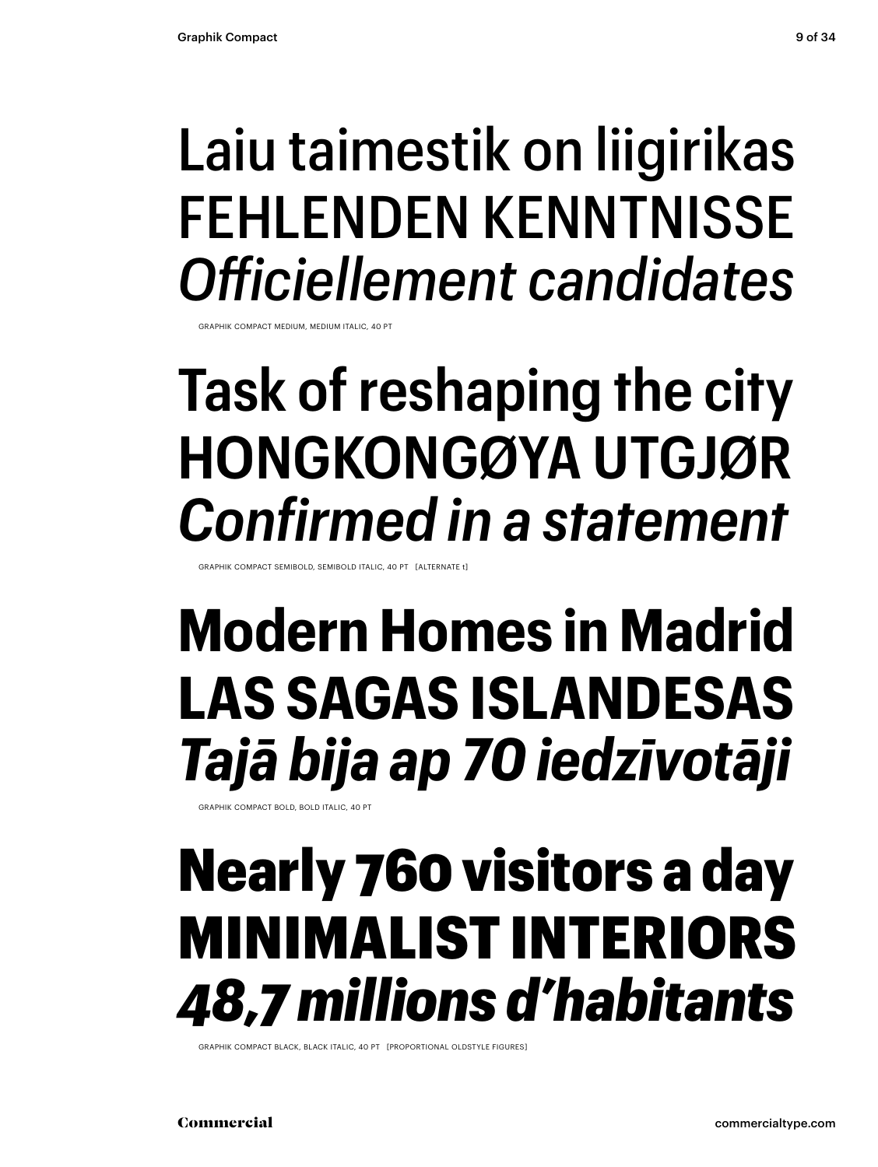### Laiu taimestik on liigirikas FEHLENDEN KENNTNISSE *Officiellement candidates*

GRAPHIK COMPACT MEDIUM, MEDIUM ITALIC, 40 PT

### **Task of reshaping the city HONGKONGØYA UTGJØR** *Confirmed in a statement*

GRAPHIK COMPACT SEMIBOLD, SEMIBOLD ITALIC, 40 PT [ALTERNATE t]

### **Modern Homes in Madrid LAS SAGAS ISLANDESAS** *Tajā bija ap 70 iedzīvotāji*

GRAPHIK COMPACT BOLD, BOLD ITALIC, 40 PT

### Nearly 760 visitors a day MINIMALIST INTERIORS *48,7 millions d'habitants*

GRAPHIK COMPACT BLACK, BLACK ITALIC, 40 PT [PROPORTIONAL OLDSTYLE FIGURES]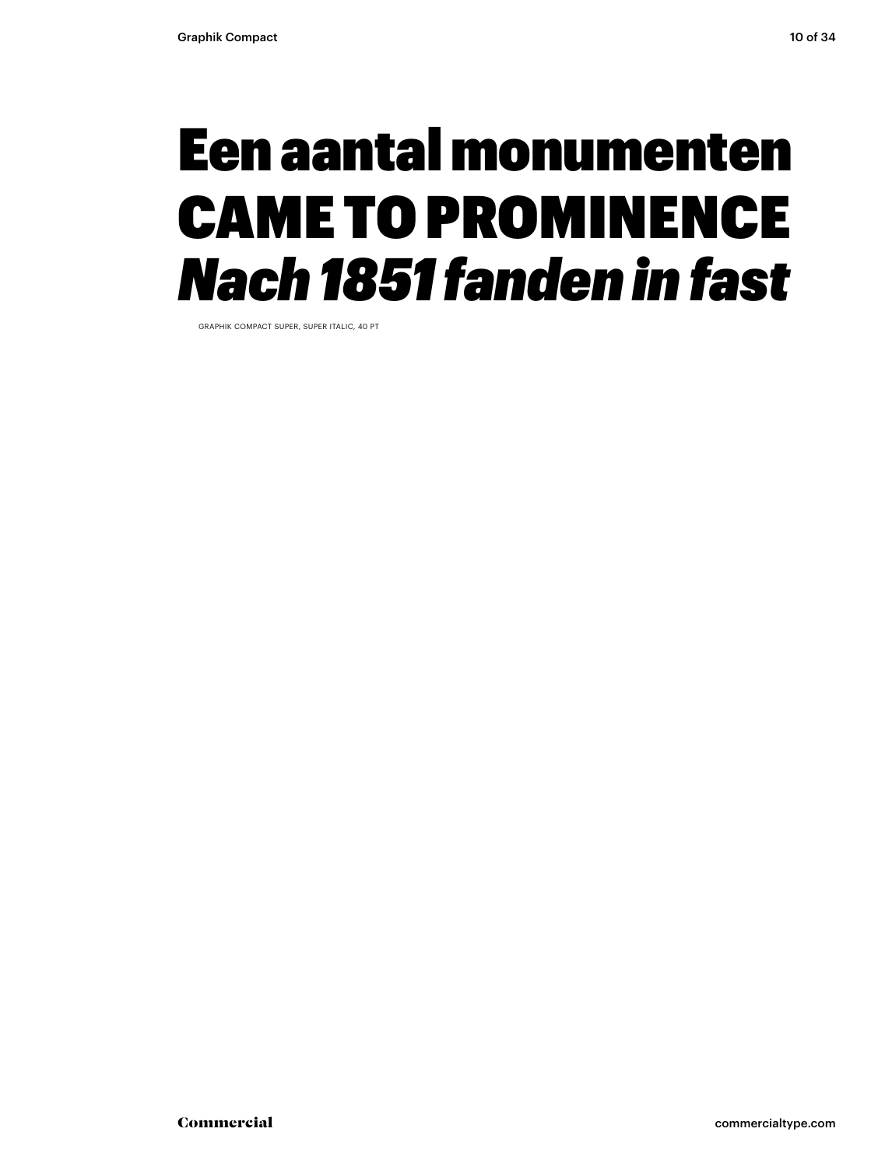### Een aantal monumenten CAME TO PROMINENCE *Nach 1851 fanden in fast*

GRAPHIK COMPACT SUPER, SUPER ITALIC, 40 PT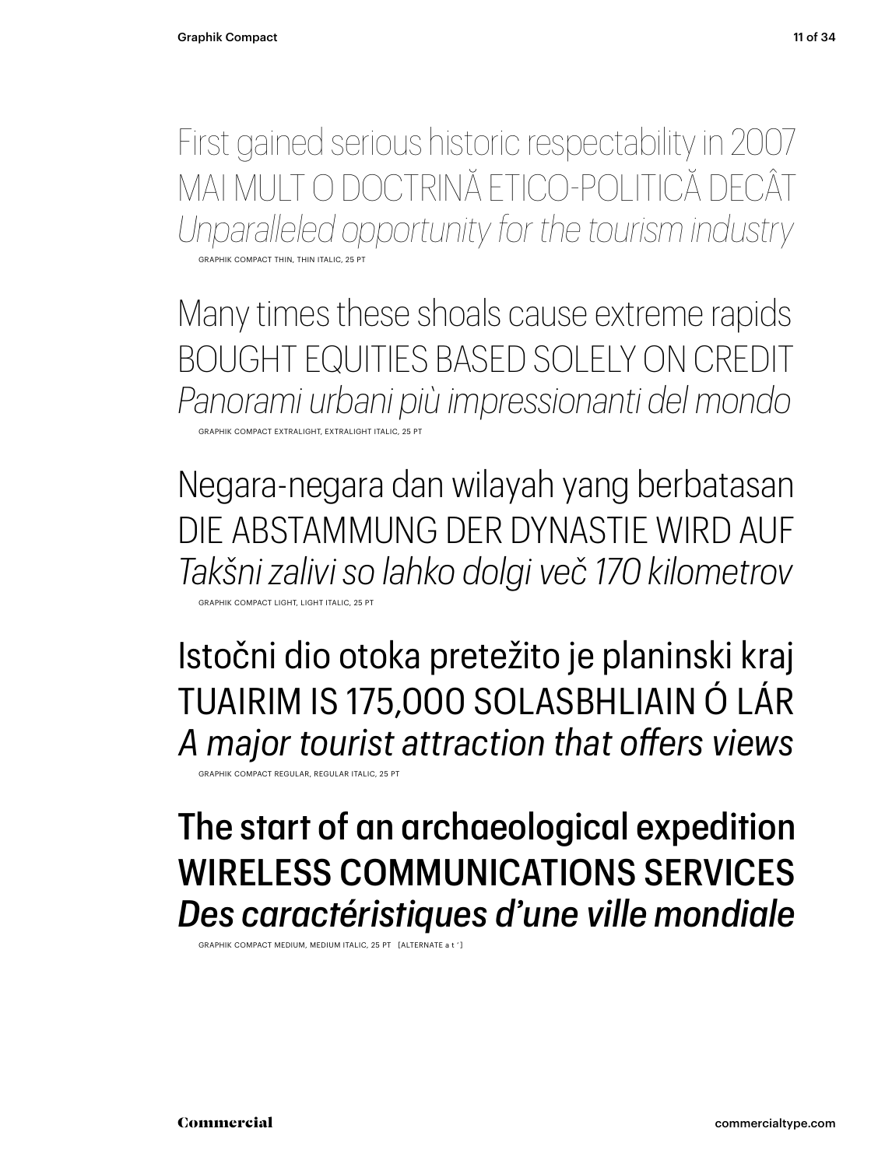GRAPHIK COMPACT THIN, THIN ITALIC, 25 PT

Many times these shoals cause extreme rapids BOUGHT EQUITIES BASED SOLELY ON CREDIT *Panorami urbani più impressionanti del mondo* GRAPHIK COMPACT EXTRALIGHT, EXTRALIGHT ITALIC, 25 PT

*Unparalleled opportunity for the tourism industry*

Negara-negara dan wilayah yang berbatasan DIE ABSTAMMUNG DER DYNASTIE WIRD AUF *Takšni zalivi so lahko dolgi več 170 kilometrov*

GRAPHIK COMPACT LIGHT, LIGHT ITA

Istočni dio otoka pretežito je planinski kraj TUAIRIM IS 175,000 SOLASBHLIAIN Ó LÁR *A major tourist attraction that offers views*

GRAPHIK COMPACT REGULAR, REGULAR ITALIC, 25 PT

### The start of an archaeological expedition WIRELESS COMMUNICATIONS SERVICES *Des caractéristiques d'une ville mondiale*

GRAPHIK COMPACT MEDIUM, MEDIUM ITALIC, 25 PT [ALTERNATE a t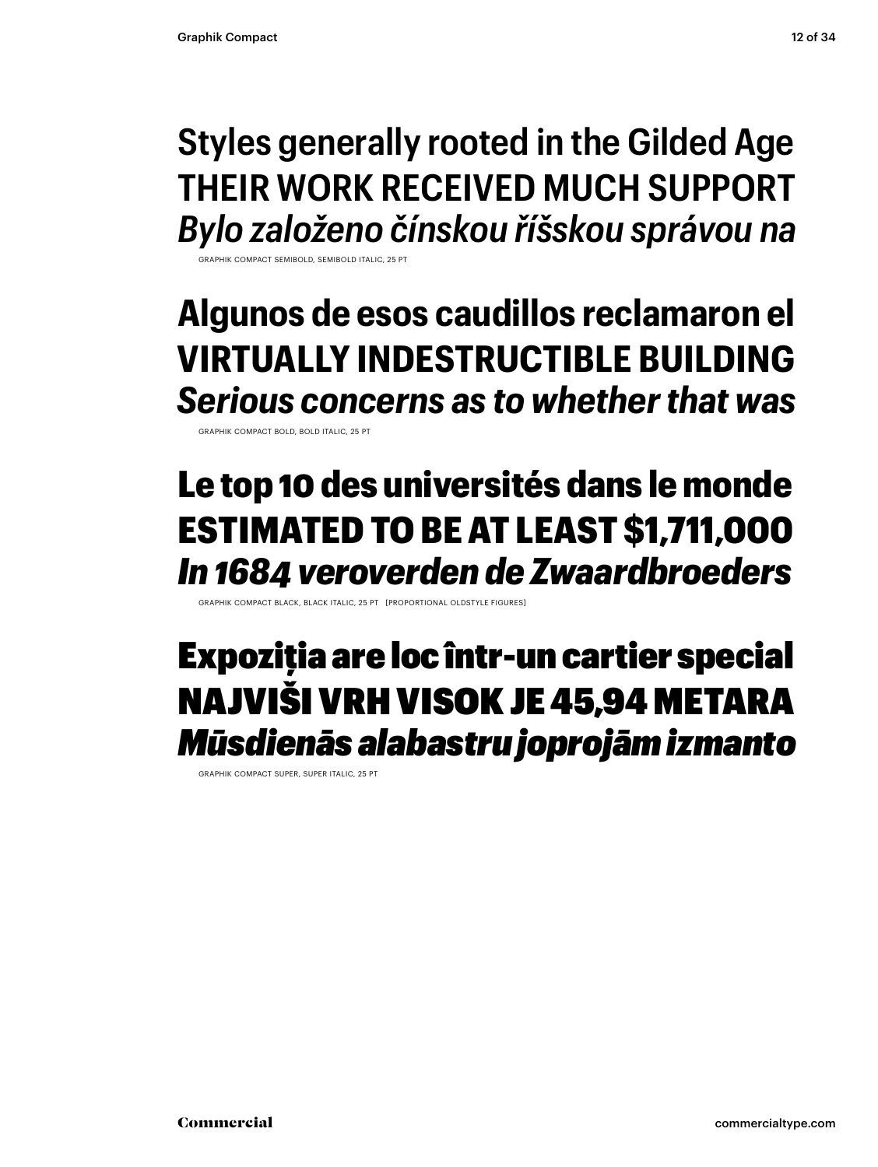### **Styles generally rooted in the Gilded Age THEIR WORK RECEIVED MUCH SUPPORT** *Bylo založeno čínskou říšskou správou na*

GRAPHIK COMPACT SEMIBOLD, SEMIBOLD ITALIC, 25 PT

### **Algunos de esos caudillos reclamaron el VIRTUALLY INDESTRUCTIBLE BUILDING** *Serious concerns as to whether that was*

GRAPHIK COMPACT BOLD, BOLD ITALIC, 25 PT

### Le top 10 des universités dans le monde ESTIMATED TO BE AT LEAST \$1,711,000 *In 1684 veroverden de Zwaardbroeders*

GRAPHIK COMPACT BLACK, BLACK ITALIC, 25 PT [PROPORTIONAL OLDSTYLE FIGURES]

### Expoziţia are loc într-un cartier special NAJVIŠI VRH VISOK JE 45,94 METARA *Mūsdienās alabastru joprojām izmanto*

GRAPHIK COMPACT SUPER, SUPER ITALIC, 25 PT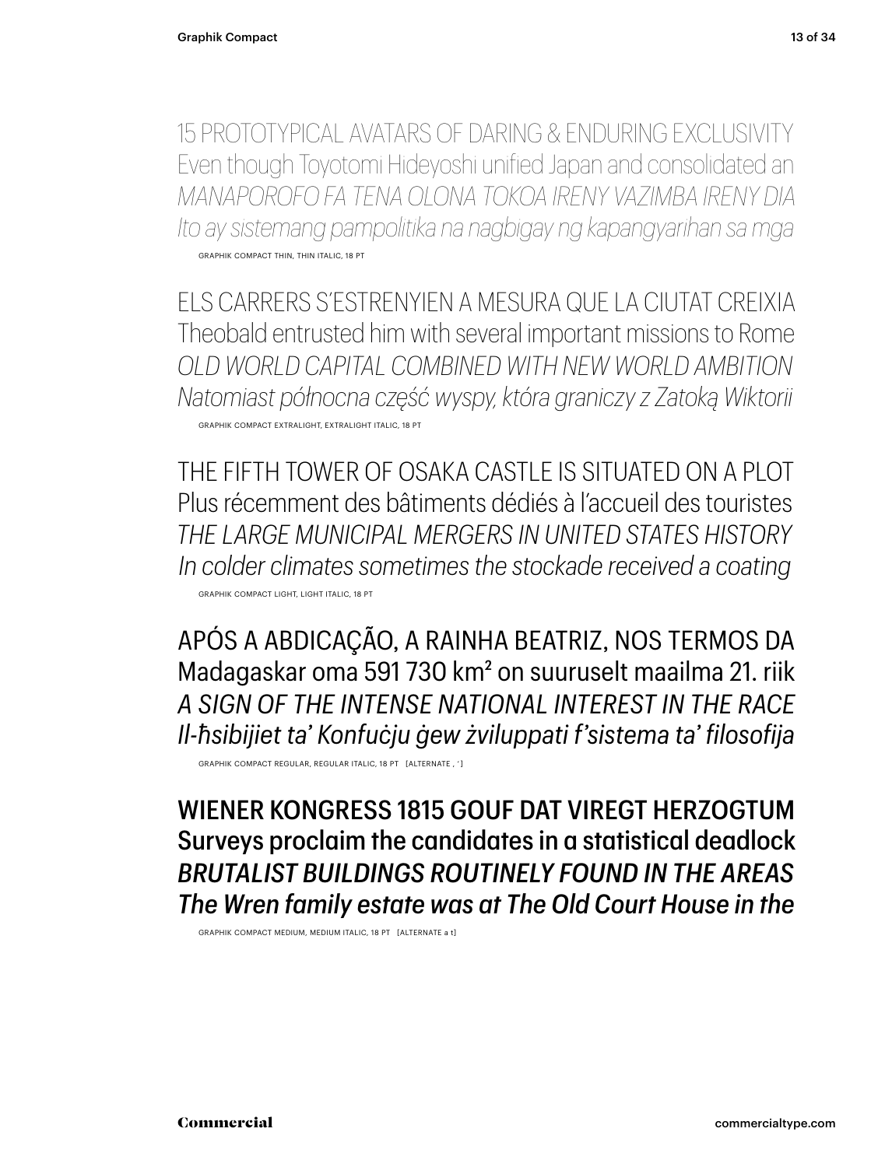15 PROTOTYPICAL AVATARS OF DARING & ENDURING EXCLUSIVITY Even though Toyotomi Hideyoshi unified Japan and consolidated an *MANAPOROFO FA TENA OLONA TOKOA IRENY VAZIMBA IRENY DIA Ito ay sistemang pampolitika na nagbigay ng kapangyarihan sa mga* GRAPHIK COMPACT THIN, THIN ITALIC, 18 PT

ELS CARRERS S'ESTRENYIEN A MESURA QUE LA CIUTAT CREIXIA Theobald entrusted him with several important missions to Rome *OLD WORLD CAPITAL COMBINED WITH NEW WORLD AMBITION Natomiast północna część wyspy, która graniczy z Zatoką Wiktorii* GRAPHIK COMPACT EXTRALIGHT, EXTRALIGHT ITALIC, 18 PT

THE FIFTH TOWER OF OSAKA CASTLE IS SITUATED ON A PLOT Plus récemment des bâtiments dédiés à l'accueil des touristes *THE LARGE MUNICIPAL MERGERS IN UNITED STATES HISTORY In colder climates sometimes the stockade received a coating* GRAPHIK COMPACT LIGHT, LIGHT ITALIC, 18 PT

APÓS A ABDICAÇÃO, A RAINHA BEATRIZ, NOS TERMOS DA Madagaskar oma 591 730 km2 on suuruselt maailma 21. riik *A SIGN OF THE INTENSE NATIONAL INTEREST IN THE RACE Il-ħsibijiet ta' Konfuċju ġew żviluppati f'sistema ta' filosofija*

GRAPHIK COMPACT REGULAR, REGULAR ITALIC, 18 PT [ALTERNATE , ' ]

WIENER KONGRESS 1815 GOUF DAT VIREGT HERZOGTUM Surveys proclaim the candidates in a statistical deadlock *BRUTALIST BUILDINGS ROUTINELY FOUND IN THE AREAS The Wren family estate was at The Old Court House in the*

GRAPHIK COMPACT MEDIUM, MEDIUM ITALIC, 18 PT [ALTERNATE a t]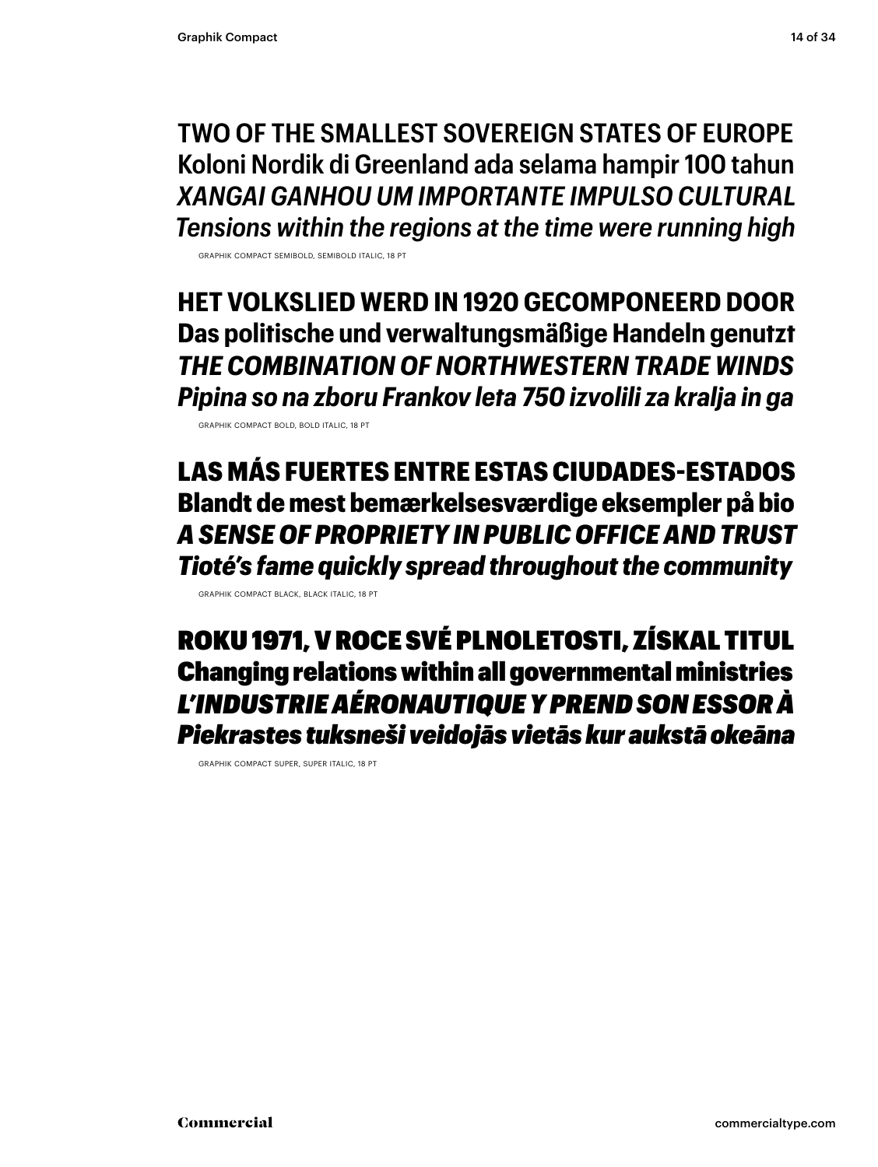**TWO OF THE SMALLEST SOVEREIGN STATES OF EUROPE Koloni Nordik di Greenland ada selama hampir 100 tahun** *XANGAI GANHOU UM IMPORTANTE IMPULSO CULTURAL Tensions within the regions at the time were running high*

GRAPHIK COMPACT SEMIBOLD, SEMIBOLD ITALIC, 18 PT

**HET VOLKSLIED WERD IN 1920 GECOMPONEERD DOOR Das politische und verwaltungsmäßige Handeln genutzt** *THE COMBINATION OF NORTHWESTERN TRADE WINDS Pipina so na zboru Frankov leta 750 izvolili za kralja in ga*

GRAPHIK COMPACT BOLD, BOLD ITALIC, 18 PT

LAS MÁS FUERTES ENTRE ESTAS CIUDADES-ESTADOS Blandt de mest bemærkelsesværdige eksempler på bio *A SENSE OF PROPRIETY IN PUBLIC OFFICE AND TRUST Tioté's fame quickly spread throughout the community*

GRAPHIK COMPACT BLACK, BLACK ITALIC, 18 PT

ROKU 1971, V ROCE SVÉ PLNOLETOSTI, ZÍSKAL TITUL Changing relations within all governmental ministries *L'INDUSTRIE AÉRONAUTIQUE Y PREND SON ESSOR À Piekrastes tuksneši veidojās vietās kur aukstā okeāna*

GRAPHIK COMPACT SUPER, SUPER ITALIC, 18 PT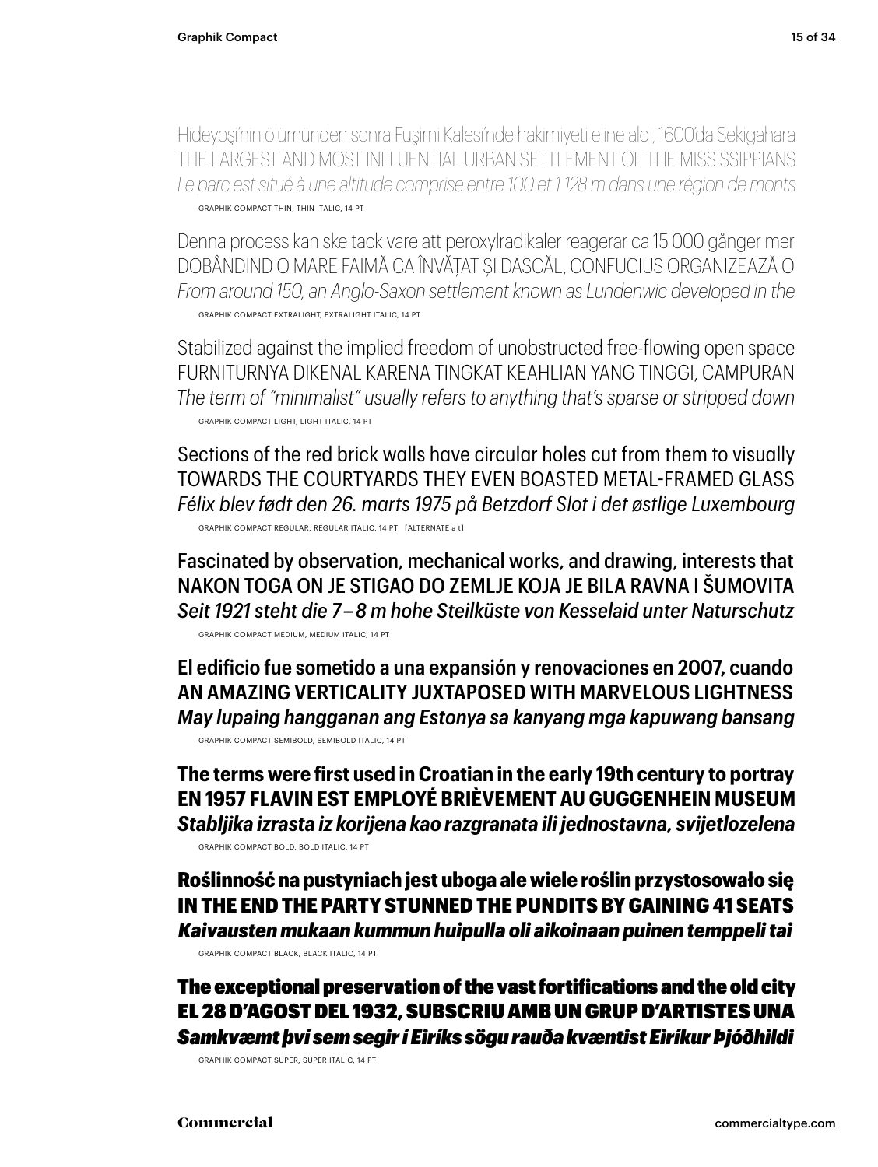Hideyoşi'nin ölümünden sonra Fuşimi Kalesi'nde hakimiyeti eline aldı, 1600'da Sekigahara THE LARGEST AND MOST INFLUENTIAL URBAN SETTLEMENT OF THE MISSISSIPPIANS *Le parc est situé à une altitude comprise entre 100 et 1 128 m dans une région de monts* GRAPHIK COMPACT THIN, THIN ITALIC, 14 PT

Denna process kan ske tack vare att peroxylradikaler reagerar ca 15 000 gånger mer DOBÂNDIND O MARE FAIMĂ CA ÎNVĂȚAT ȘI DASCĂL, CONFUCIUS ORGANIZEAZĂ O *From around 150, an Anglo-Saxon settlement known as Lundenwic developed in the* GRAPHIK COMPACT EXTRALIGHT, EXTRALIGHT ITALIC, 14 PT

Stabilized against the implied freedom of unobstructed free-flowing open space FURNITURNYA DIKENAL KARENA TINGKAT KEAHLIAN YANG TINGGI, CAMPURAN *The term of "minimalist" usually refers to anything that's sparse or stripped down* GRAPHIK COMPACT LIGHT, LIGHT ITALIC, 14 PT

Sections of the red brick walls have circular holes cut from them to visually TOWARDS THE COURTYARDS THEY EVEN BOASTED METAL-FRAMED GLASS *Félix blev født den 26. marts 1975 på Betzdorf Slot i det østlige Luxembourg* GRAPHIK COMPACT REGULAR, REGULAR ITALIC, 14 PT [ALTERNATE a t]

Fascinated by observation, mechanical works, and drawing, interests that NAKON TOGA ON JE STIGAO DO ZEMLJE KOJA JE BILA RAVNA I ŠUMOVITA *Seit 1921 steht die 7 – 8 m hohe Steilküste von Kesselaid unter Naturschutz*

GRAPHIK COMPACT MEDIUM, MEDIUM ITALIC, 14 PT

**El edificio fue sometido a una expansión y renovaciones en 2007, cuando AN AMAZING VERTICALITY JUXTAPOSED WITH MARVELOUS LIGHTNESS** *May lupaing hangganan ang Estonya sa kanyang mga kapuwang bansang* GRAPHIK COMPACT SEMIBOLD, SEMIBOLD ITALIC, 14 PT

**The terms were first used in Croatian in the early 19th century to portray EN 1957 FLAVIN EST EMPLOYÉ BRIÈVEMENT AU GUGGENHEIN MUSEUM** *Stabljika izrasta iz korijena kao razgranata ili jednostavna, svijetlozelena* GRAPHIK COMPACT BOLD, BOLD ITALIC, 14 PT

Roślinność na pustyniach jest uboga ale wiele roślin przystosowało się IN THE END THE PARTY STUNNED THE PUNDITS BY GAINING 41 SEATS *Kaivausten mukaan kummun huipulla oli aikoinaan puinen temppeli tai*

GRAPHIK COMPACT BLACK, BLACK ITALIC, 14 PT

The exceptional preservation of the vast fortifications and the old city EL 28 D'AGOST DEL 1932, SUBSCRIU AMB UN GRUP D'ARTISTES UNA *Samkvæmt því sem segir í Eiríks sögu rauða kvæntist Eiríkur Þjóðhildi*

GRAPHIK COMPACT SUPER, SUPER ITALIC, 14 PT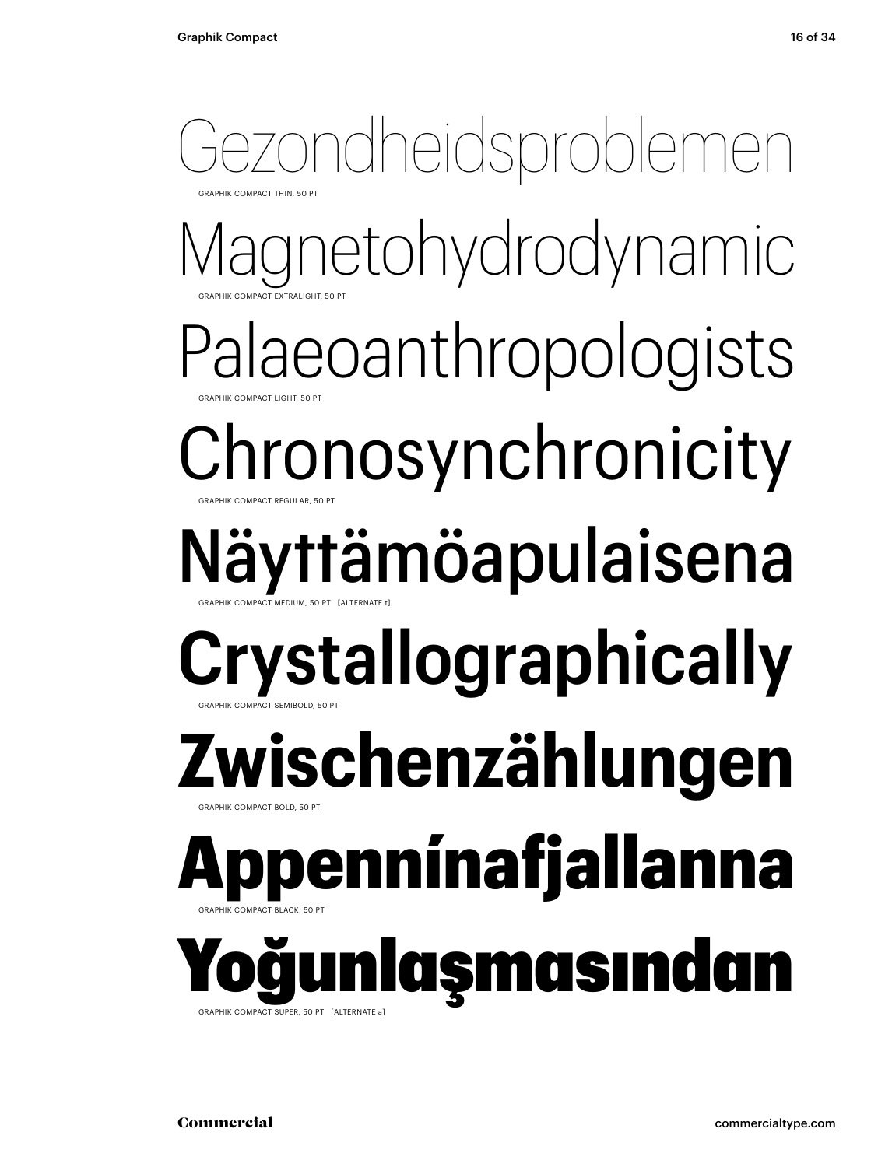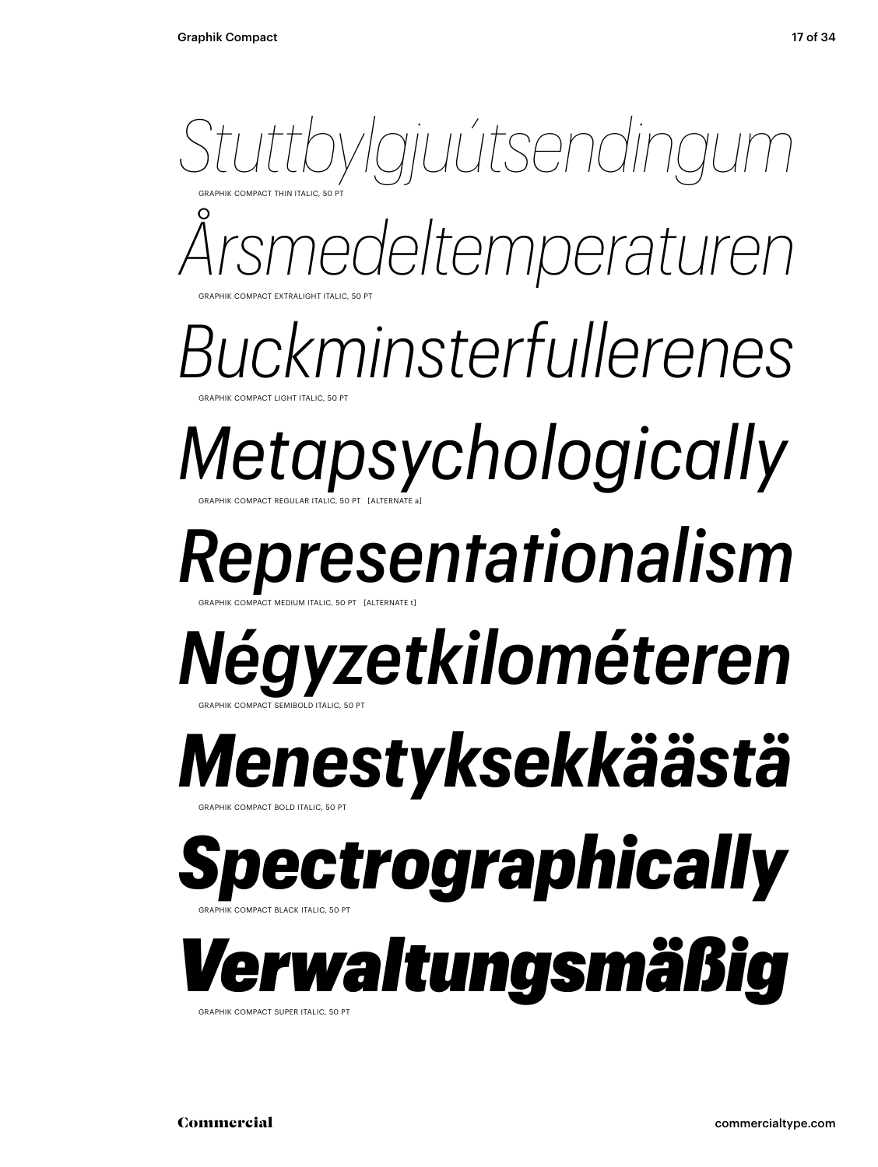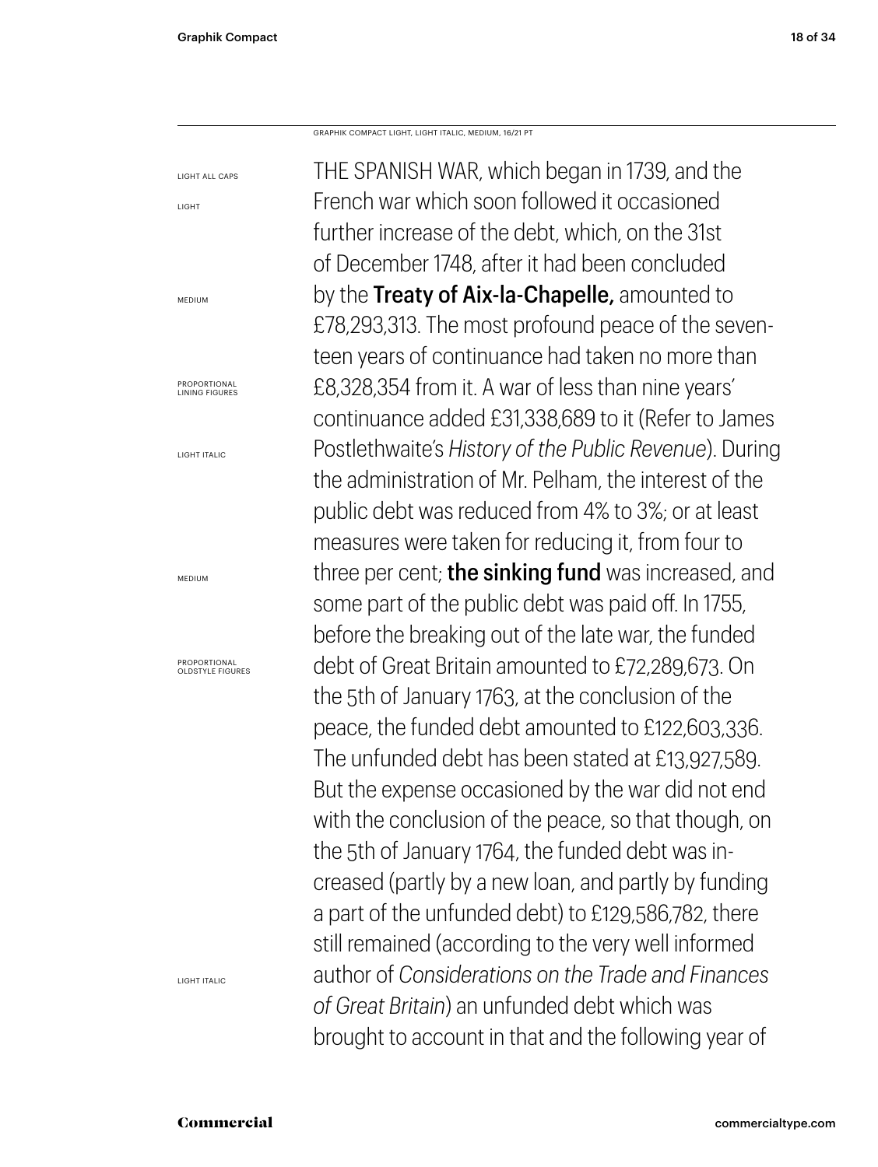LIGHT

MEDIUM

**PROPORTIONAL** 

LIGHT ITALIC

MEDIUM

GRAPHIK COMPACT LIGHT, LIGHT ITALIC, MEDIUM, 16/21 PT

LIGHT ALL CAPS LINING FIGURES PROPORTIONAL OLDSTYLE FIGURES THE SPANISH WAR, which began in 1739, and the French war which soon followed it occasioned further increase of the debt, which, on the 31st of December 1748, after it had been concluded by the Treaty of Aix-la-Chapelle, amounted to £78,293,313. The most profound peace of the seventeen years of continuance had taken no more than £8,328,354 from it. A war of less than nine years' continuance added £31,338,689 to it (Refer to James Postlethwaite's *History of the Public Revenue*). During the administration of Mr. Pelham, the interest of the public debt was reduced from 4% to 3%; or at least measures were taken for reducing it, from four to three per cent; the sinking fund was increased, and some part of the public debt was paid off. In 1755, before the breaking out of the late war, the funded debt of Great Britain amounted to £72,289,673. On the 5th of January 1763, at the conclusion of the peace, the funded debt amounted to £122,603,336. The unfunded debt has been stated at £13,927,589. But the expense occasioned by the war did not end with the conclusion of the peace, so that though, on the 5th of January 1764, the funded debt was increased (partly by a new loan, and partly by funding a part of the unfunded debt) to £129,586,782, there still remained (according to the very well informed author of *Considerations on the Trade and Finances of Great Britain*) an unfunded debt which was brought to account in that and the following year of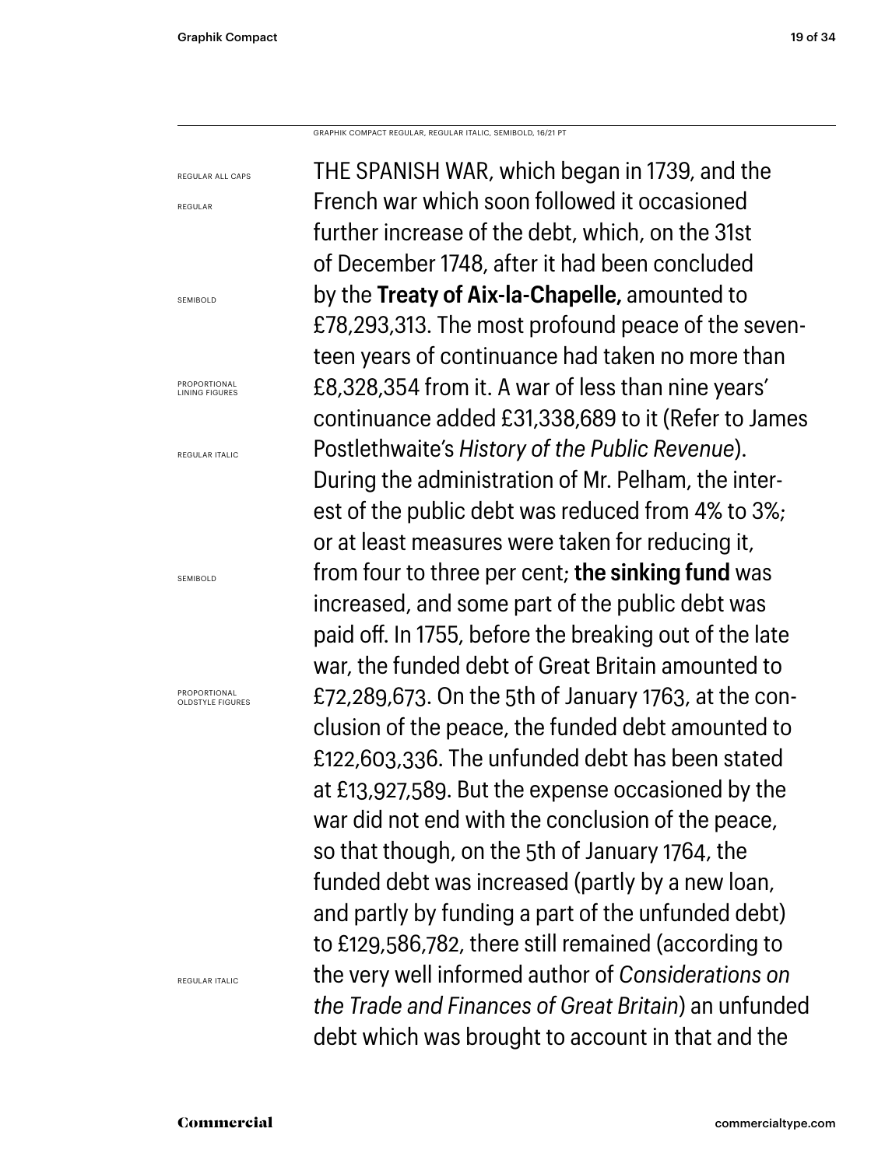REGULAR ALL CAPS

REGULAR

SEMIBOLD

GRAPHIK COMPACT REGULAR, REGULAR ITALIC, SEMIBOLD, 16/21 PT

THE SPANISH WAR, which began in 1739, and the French war which soon followed it occasioned further increase of the debt, which, on the 31st of December 1748, after it had been concluded by the **Treaty of Aix-la-Chapelle,** amounted to £78,293,313. The most profound peace of the seventeen years of continuance had taken no more than £8,328,354 from it. A war of less than nine years' continuance added £31,338,689 to it (Refer to James Postlethwaite's *History of the Public Revenue*). During the administration of Mr. Pelham, the interest of the public debt was reduced from 4% to 3%; or at least measures were taken for reducing it, from four to three per cent; **the sinking fund** was increased, and some part of the public debt was paid off. In 1755, before the breaking out of the late war, the funded debt of Great Britain amounted to £72,289,673. On the 5th of January 1763, at the conclusion of the peace, the funded debt amounted to £122,603,336. The unfunded debt has been stated at £13,927,589. But the expense occasioned by the war did not end with the conclusion of the peace, so that though, on the 5th of January 1764, the funded debt was increased (partly by a new loan, and partly by funding a part of the unfunded debt) to £129,586,782, there still remained (according to the very well informed author of *Considerations on the Trade and Finances of Great Britain*) an unfunded debt which was brought to account in that and the

LINING FIGURES

**PROPORTIONAL** 

REGULAR ITALIC

SEMIROLD

PROPORTIONAL OLDSTYLE FIGURES

REGULAR ITALIC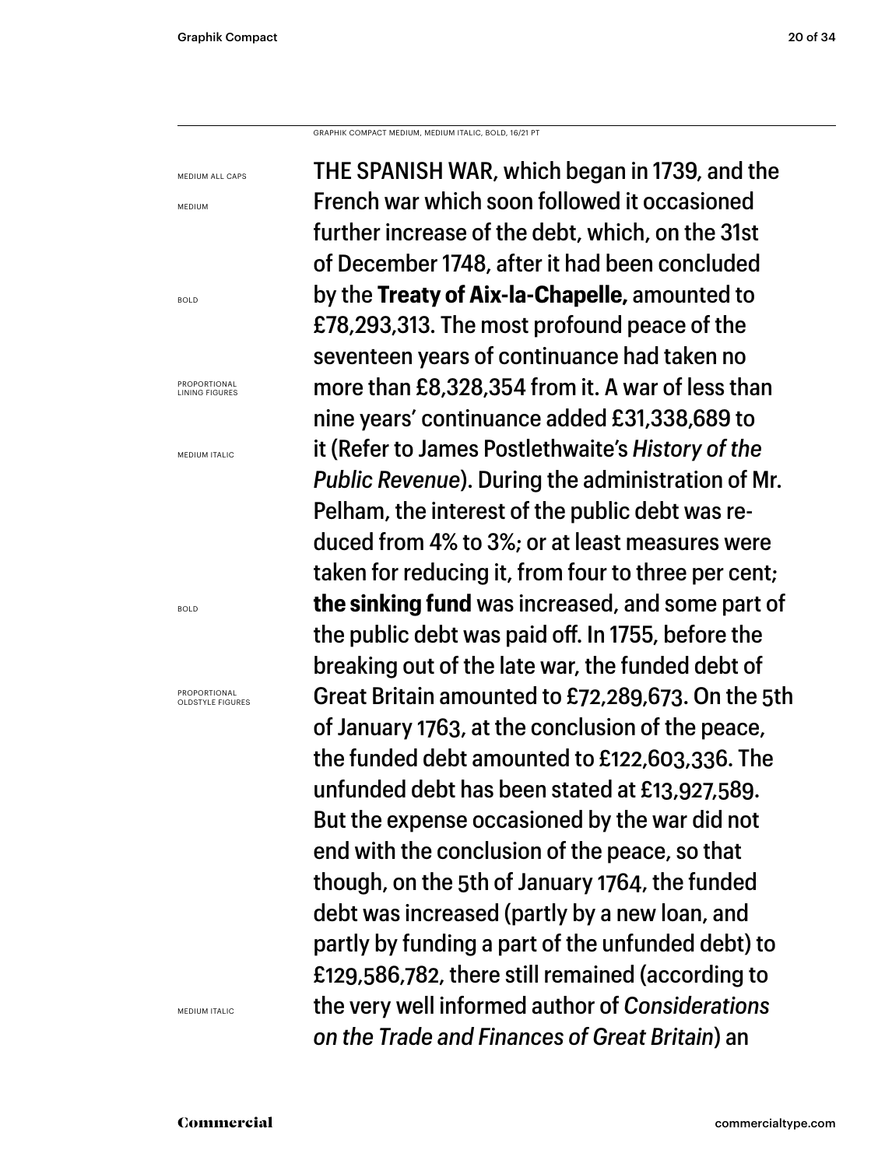GRAPHIK COMPACT MEDIUM, MEDIUM ITALIC, BOLD, 16/21 PT

MEDIUM ALL CAPS MEDIUM

BOLD

**PROPORTIONAL** LINING FIGURES

MEDIUM ITALIC

BOLD

PROPORTIONAL OLDSTYLE FIGURES

MEDIUM ITALIC

THE SPANISH WAR, which began in 1739, and the French war which soon followed it occasioned further increase of the debt, which, on the 31st of December 1748, after it had been concluded by the **Treaty of Aix-la-Chapelle,** amounted to £78,293,313. The most profound peace of the seventeen years of continuance had taken no more than £8,328,354 from it. A war of less than nine years' continuance added £31,338,689 to it (Refer to James Postlethwaite's *History of the Public Revenue*). During the administration of Mr. Pelham, the interest of the public debt was reduced from 4% to 3%; or at least measures were taken for reducing it, from four to three per cent; **the sinking fund** was increased, and some part of the public debt was paid off. In 1755, before the breaking out of the late war, the funded debt of Great Britain amounted to £72,289,673. On the 5th of January 1763, at the conclusion of the peace, the funded debt amounted to £122,603,336. The unfunded debt has been stated at £13,927,589. But the expense occasioned by the war did not end with the conclusion of the peace, so that though, on the 5th of January 1764, the funded debt was increased (partly by a new loan, and partly by funding a part of the unfunded debt) to £129,586,782, there still remained (according to the very well informed author of *Considerations on the Trade and Finances of Great Britain*) an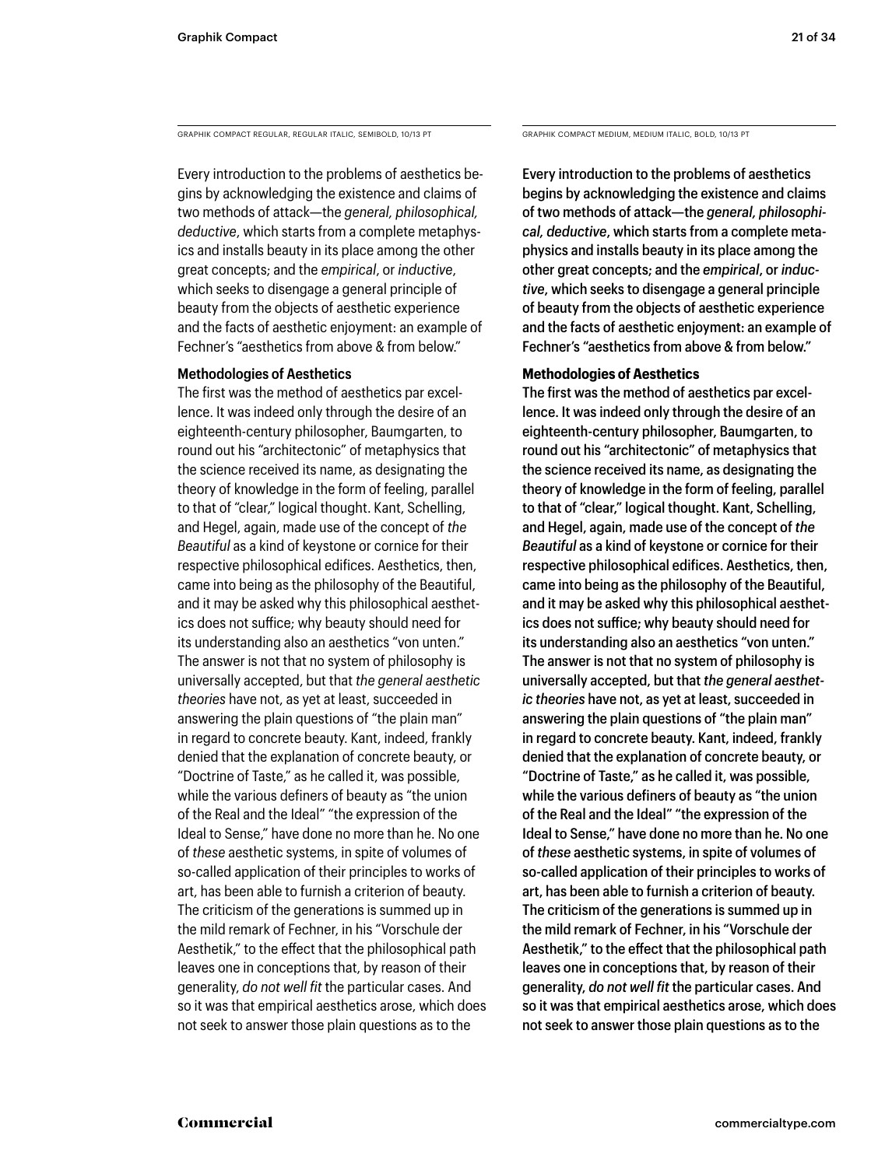GRAPHIK COMPACT REGULAR, REGULAR ITALIC, SEMIBOLD, 10/13 PT GRAPHIK COMPACT MEDIUM, MEDIUM ITALIC, BOLD, 10/13 PT

Every introduction to the problems of aesthetics begins by acknowledging the existence and claims of two methods of attack—the *general, philosophical, deductive*, which starts from a complete metaphysics and installs beauty in its place among the other great concepts; and the *empirical*, or *inductive*, which seeks to disengage a general principle of beauty from the objects of aesthetic experience and the facts of aesthetic enjoyment: an example of Fechner's "aesthetics from above & from below."

### **Methodologies of Aesthetics**

The first was the method of aesthetics par excellence. It was indeed only through the desire of an eighteenth-century philosopher, Baumgarten, to round out his "architectonic" of metaphysics that the science received its name, as designating the theory of knowledge in the form of feeling, parallel to that of "clear," logical thought. Kant, Schelling, and Hegel, again, made use of the concept of *the Beautiful* as a kind of keystone or cornice for their respective philosophical edifices. Aesthetics, then, came into being as the philosophy of the Beautiful, and it may be asked why this philosophical aesthetics does not suffice; why beauty should need for its understanding also an aesthetics "von unten." The answer is not that no system of philosophy is universally accepted, but that *the general aesthetic theories* have not, as yet at least, succeeded in answering the plain questions of "the plain man" in regard to concrete beauty. Kant, indeed, frankly denied that the explanation of concrete beauty, or "Doctrine of Taste," as he called it, was possible, while the various definers of beauty as "the union of the Real and the Ideal" "the expression of the Ideal to Sense," have done no more than he. No one of *these* aesthetic systems, in spite of volumes of so-called application of their principles to works of art, has been able to furnish a criterion of beauty. The criticism of the generations is summed up in the mild remark of Fechner, in his "Vorschule der Aesthetik," to the effect that the philosophical path leaves one in conceptions that, by reason of their generality, *do not well fit* the particular cases. And so it was that empirical aesthetics arose, which does not seek to answer those plain questions as to the

Every introduction to the problems of aesthetics begins by acknowledging the existence and claims of two methods of attack—the *general, philosophical, deductive*, which starts from a complete metaphysics and installs beauty in its place among the other great concepts; and the *empirical*, or *inductive*, which seeks to disengage a general principle of beauty from the objects of aesthetic experience and the facts of aesthetic enjoyment: an example of Fechner's "aesthetics from above & from below."

### **Methodologies of Aesthetics**

The first was the method of aesthetics par excellence. It was indeed only through the desire of an eighteenth-century philosopher, Baumgarten, to round out his "architectonic" of metaphysics that the science received its name, as designating the theory of knowledge in the form of feeling, parallel to that of "clear," logical thought. Kant, Schelling, and Hegel, again, made use of the concept of *the Beautiful* as a kind of keystone or cornice for their respective philosophical edifices. Aesthetics, then, came into being as the philosophy of the Beautiful, and it may be asked why this philosophical aesthetics does not suffice; why beauty should need for its understanding also an aesthetics "von unten." The answer is not that no system of philosophy is universally accepted, but that *the general aesthetic theories* have not, as yet at least, succeeded in answering the plain questions of "the plain man" in regard to concrete beauty. Kant, indeed, frankly denied that the explanation of concrete beauty, or "Doctrine of Taste," as he called it, was possible, while the various definers of beauty as "the union of the Real and the Ideal" "the expression of the Ideal to Sense," have done no more than he. No one of *these* aesthetic systems, in spite of volumes of so-called application of their principles to works of art, has been able to furnish a criterion of beauty. The criticism of the generations is summed up in the mild remark of Fechner, in his "Vorschule der Aesthetik," to the effect that the philosophical path leaves one in conceptions that, by reason of their generality, *do not well fit* the particular cases. And so it was that empirical aesthetics arose, which does not seek to answer those plain questions as to the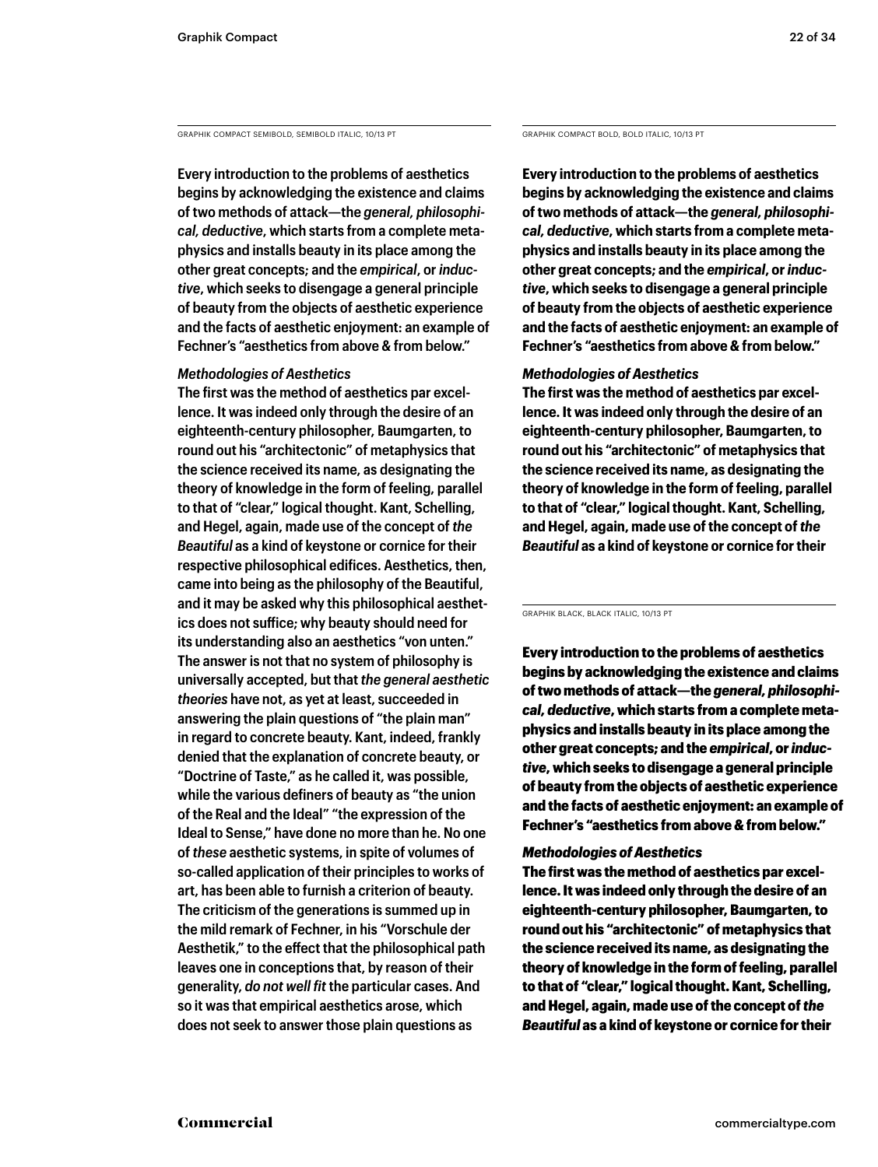GRAPHIK COMPACT SEMIBOLD, SEMIBOLD ITALIC, 10/13 PT GRAPHIK COMPACT BOLD, BOLD ITALIC, 10/13 PT

**Every introduction to the problems of aesthetics begins by acknowledging the existence and claims of two methods of attack—the** *general, philosophical, deductive***, which starts from a complete metaphysics and installs beauty in its place among the other great concepts; and the** *empirical***, or** *inductive***, which seeks to disengage a general principle of beauty from the objects of aesthetic experience and the facts of aesthetic enjoyment: an example of Fechner's "aesthetics from above & from below."** 

### *Methodologies of Aesthetics*

**The first was the method of aesthetics par excellence. It was indeed only through the desire of an eighteenth-century philosopher, Baumgarten, to round out his "architectonic" of metaphysics that the science received its name, as designating the theory of knowledge in the form of feeling, parallel to that of "clear," logical thought. Kant, Schelling, and Hegel, again, made use of the concept of** *the Beautiful* **as a kind of keystone or cornice for their respective philosophical edifices. Aesthetics, then, came into being as the philosophy of the Beautiful, and it may be asked why this philosophical aesthetics does not suffice; why beauty should need for its understanding also an aesthetics "von unten." The answer is not that no system of philosophy is universally accepted, but that** *the general aesthetic theories* **have not, as yet at least, succeeded in answering the plain questions of "the plain man" in regard to concrete beauty. Kant, indeed, frankly denied that the explanation of concrete beauty, or "Doctrine of Taste," as he called it, was possible, while the various definers of beauty as "the union of the Real and the Ideal" "the expression of the Ideal to Sense," have done no more than he. No one of** *these* **aesthetic systems, in spite of volumes of so-called application of their principles to works of art, has been able to furnish a criterion of beauty. The criticism of the generations is summed up in the mild remark of Fechner, in his "Vorschule der Aesthetik," to the effect that the philosophical path leaves one in conceptions that, by reason of their generality,** *do not well fit* **the particular cases. And so it was that empirical aesthetics arose, which does not seek to answer those plain questions as** 

**Every introduction to the problems of aesthetics begins by acknowledging the existence and claims of two methods of attack—the** *general, philosophical, deductive***, which starts from a complete metaphysics and installs beauty in its place among the other great concepts; and the** *empirical***, or** *inductive***, which seeks to disengage a general principle of beauty from the objects of aesthetic experience and the facts of aesthetic enjoyment: an example of Fechner's "aesthetics from above & from below."** 

### *Methodologies of Aesthetics*

**The first was the method of aesthetics par excellence. It was indeed only through the desire of an eighteenth-century philosopher, Baumgarten, to round out his "architectonic" of metaphysics that the science received its name, as designating the theory of knowledge in the form of feeling, parallel to that of "clear," logical thought. Kant, Schelling, and Hegel, again, made use of the concept of** *the Beautiful* **as a kind of keystone or cornice for their** 

GRAPHIK BLACK, BLACK ITALIC, 10/13 PT

Every introduction to the problems of aesthetics begins by acknowledging the existence and claims of two methods of attack—the *general, philosophical, deductive*, which starts from a complete metaphysics and installs beauty in its place among the other great concepts; and the *empirical*, or *inductive*, which seeks to disengage a general principle of beauty from the objects of aesthetic experience and the facts of aesthetic enjoyment: an example of Fechner's "aesthetics from above & from below."

### *Methodologies of Aesthetics*

The first was the method of aesthetics par excellence. It was indeed only through the desire of an eighteenth-century philosopher, Baumgarten, to round out his "architectonic" of metaphysics that the science received its name, as designating the theory of knowledge in the form of feeling, parallel to that of "clear," logical thought. Kant, Schelling, and Hegel, again, made use of the concept of *the Beautiful* as a kind of keystone or cornice for their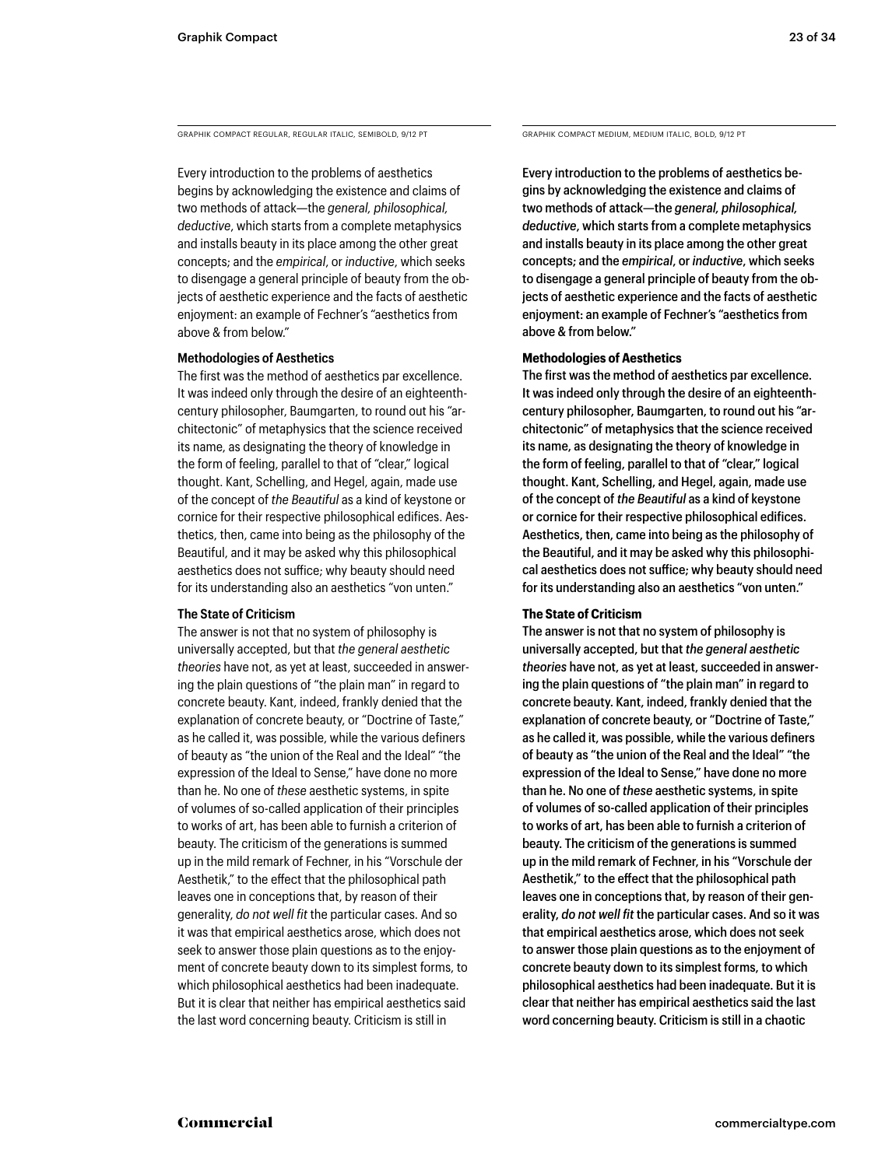GRAPHIK COMPACT REGULAR, REGULAR ITALIC, SEMIBOLD, 9/12 PT GRAPHIK COMPACT MEDIUM, MEDIUM ITALIC, BOLD, 9/12 PT

Every introduction to the problems of aesthetics begins by acknowledging the existence and claims of two methods of attack—the *general, philosophical, deductive*, which starts from a complete metaphysics and installs beauty in its place among the other great concepts; and the *empirical*, or *inductive*, which seeks to disengage a general principle of beauty from the objects of aesthetic experience and the facts of aesthetic enjoyment: an example of Fechner's "aesthetics from above & from below."

### **Methodologies of Aesthetics**

The first was the method of aesthetics par excellence. It was indeed only through the desire of an eighteenthcentury philosopher, Baumgarten, to round out his "architectonic" of metaphysics that the science received its name, as designating the theory of knowledge in the form of feeling, parallel to that of "clear," logical thought. Kant, Schelling, and Hegel, again, made use of the concept of *the Beautiful* as a kind of keystone or cornice for their respective philosophical edifices. Aesthetics, then, came into being as the philosophy of the Beautiful, and it may be asked why this philosophical aesthetics does not suffice; why beauty should need for its understanding also an aesthetics "von unten."

### **The State of Criticism**

The answer is not that no system of philosophy is universally accepted, but that *the general aesthetic theories* have not, as yet at least, succeeded in answering the plain questions of "the plain man" in regard to concrete beauty. Kant, indeed, frankly denied that the explanation of concrete beauty, or "Doctrine of Taste," as he called it, was possible, while the various definers of beauty as "the union of the Real and the Ideal" "the expression of the Ideal to Sense," have done no more than he. No one of *these* aesthetic systems, in spite of volumes of so-called application of their principles to works of art, has been able to furnish a criterion of beauty. The criticism of the generations is summed up in the mild remark of Fechner, in his "Vorschule der Aesthetik," to the effect that the philosophical path leaves one in conceptions that, by reason of their generality, *do not well fit* the particular cases. And so it was that empirical aesthetics arose, which does not seek to answer those plain questions as to the enjoyment of concrete beauty down to its simplest forms, to which philosophical aesthetics had been inadequate. But it is clear that neither has empirical aesthetics said the last word concerning beauty. Criticism is still in

Every introduction to the problems of aesthetics begins by acknowledging the existence and claims of two methods of attack—the *general, philosophical, deductive*, which starts from a complete metaphysics and installs beauty in its place among the other great concepts; and the *empirical*, or *inductive*, which seeks to disengage a general principle of beauty from the objects of aesthetic experience and the facts of aesthetic enjoyment: an example of Fechner's "aesthetics from above & from below."

### **Methodologies of Aesthetics**

The first was the method of aesthetics par excellence. It was indeed only through the desire of an eighteenthcentury philosopher, Baumgarten, to round out his "architectonic" of metaphysics that the science received its name, as designating the theory of knowledge in the form of feeling, parallel to that of "clear," logical thought. Kant, Schelling, and Hegel, again, made use of the concept of *the Beautiful* as a kind of keystone or cornice for their respective philosophical edifices. Aesthetics, then, came into being as the philosophy of the Beautiful, and it may be asked why this philosophical aesthetics does not suffice; why beauty should need for its understanding also an aesthetics "von unten."

### **The State of Criticism**

The answer is not that no system of philosophy is universally accepted, but that *the general aesthetic theories* have not, as yet at least, succeeded in answering the plain questions of "the plain man" in regard to concrete beauty. Kant, indeed, frankly denied that the explanation of concrete beauty, or "Doctrine of Taste," as he called it, was possible, while the various definers of beauty as "the union of the Real and the Ideal" "the expression of the Ideal to Sense," have done no more than he. No one of *these* aesthetic systems, in spite of volumes of so-called application of their principles to works of art, has been able to furnish a criterion of beauty. The criticism of the generations is summed up in the mild remark of Fechner, in his "Vorschule der Aesthetik," to the effect that the philosophical path leaves one in conceptions that, by reason of their generality, *do not well fit* the particular cases. And so it was that empirical aesthetics arose, which does not seek to answer those plain questions as to the enjoyment of concrete beauty down to its simplest forms, to which philosophical aesthetics had been inadequate. But it is clear that neither has empirical aesthetics said the last word concerning beauty. Criticism is still in a chaotic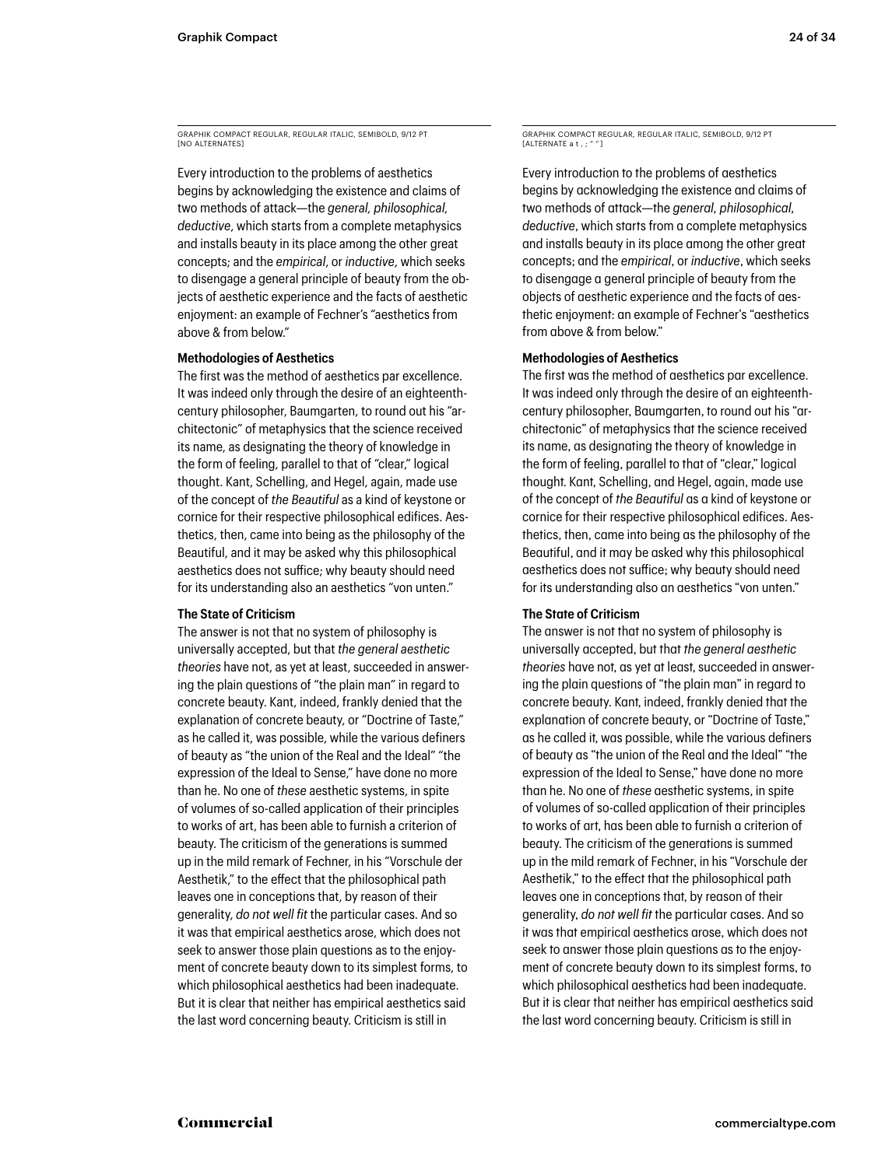GRAPHIK COMPACT REGULAR, REGULAR ITALIC, SEMIBOLD, 9/12 PT **END ALTERNATES** 

Every introduction to the problems of aesthetics begins by acknowledging the existence and claims of two methods of attack—the *general, philosophical, deductive*, which starts from a complete metaphysics and installs beauty in its place among the other great concepts; and the *empirical*, or *inductive*, which seeks to disengage a general principle of beauty from the objects of aesthetic experience and the facts of aesthetic enjoyment: an example of Fechner's "aesthetics from above & from below."

### **Methodologies of Aesthetics**

The first was the method of aesthetics par excellence. It was indeed only through the desire of an eighteenthcentury philosopher, Baumgarten, to round out his "architectonic" of metaphysics that the science received its name, as designating the theory of knowledge in the form of feeling, parallel to that of "clear," logical thought. Kant, Schelling, and Hegel, again, made use of the concept of *the Beautiful* as a kind of keystone or cornice for their respective philosophical edifices. Aesthetics, then, came into being as the philosophy of the Beautiful, and it may be asked why this philosophical aesthetics does not suffice; why beauty should need for its understanding also an aesthetics "von unten."

### **The State of Criticism**

The answer is not that no system of philosophy is universally accepted, but that *the general aesthetic theories* have not, as yet at least, succeeded in answering the plain questions of "the plain man" in regard to concrete beauty. Kant, indeed, frankly denied that the explanation of concrete beauty, or "Doctrine of Taste," as he called it, was possible, while the various definers of beauty as "the union of the Real and the Ideal" "the expression of the Ideal to Sense," have done no more than he. No one of *these* aesthetic systems, in spite of volumes of so-called application of their principles to works of art, has been able to furnish a criterion of beauty. The criticism of the generations is summed up in the mild remark of Fechner, in his "Vorschule der Aesthetik," to the effect that the philosophical path leaves one in conceptions that, by reason of their generality, *do not well fit* the particular cases. And so it was that empirical aesthetics arose, which does not seek to answer those plain questions as to the enjoyment of concrete beauty down to its simplest forms, to which philosophical aesthetics had been inadequate. But it is clear that neither has empirical aesthetics said the last word concerning beauty. Criticism is still in

GRAPHIK COMPACT REGULAR, REGULAR ITALIC, SEMIBOLD, 9/12 PT EXAMIN SOMMAST

Every introduction to the problems of aesthetics begins by acknowledging the existence and claims of two methods of attack—the *general, philosophical, deductive*, which starts from a complete metaphysics and installs beauty in its place among the other great concepts; and the *empirical*, or *inductive*, which seeks to disengage a general principle of beauty from the objects of aesthetic experience and the facts of aesthetic enjoyment: an example of Fechner's "aesthetics from above & from below."

### **Methodologies of Aesthetics**

The first was the method of aesthetics par excellence. It was indeed only through the desire of an eighteenthcentury philosopher, Baumgarten, to round out his "architectonic" of metaphysics that the science received its name, as designating the theory of knowledge in the form of feeling, parallel to that of "clear," logical thought. Kant, Schelling, and Hegel, again, made use of the concept of *the Beautiful* as a kind of keystone or cornice for their respective philosophical edifices. Aesthetics, then, came into being as the philosophy of the Beautiful, and it may be asked why this philosophical aesthetics does not suffice; why beauty should need for its understanding also an aesthetics "von unten."

### **The State of Criticism**

The answer is not that no system of philosophy is universally accepted, but that *the general aesthetic theories* have not, as yet at least, succeeded in answering the plain questions of "the plain man" in regard to concrete beauty. Kant, indeed, frankly denied that the explanation of concrete beauty, or "Doctrine of Taste," as he called it, was possible, while the various definers of beauty as "the union of the Real and the Ideal" "the expression of the Ideal to Sense," have done no more than he. No one of *these* aesthetic systems, in spite of volumes of so-called application of their principles to works of art, has been able to furnish a criterion of beauty. The criticism of the generations is summed up in the mild remark of Fechner, in his "Vorschule der Aesthetik," to the effect that the philosophical path leaves one in conceptions that, by reason of their generality, *do not well fit* the particular cases. And so it was that empirical aesthetics arose, which does not seek to answer those plain questions as to the enjoyment of concrete beauty down to its simplest forms, to which philosophical aesthetics had been inadequate. But it is clear that neither has empirical aesthetics said the last word concerning beauty. Criticism is still in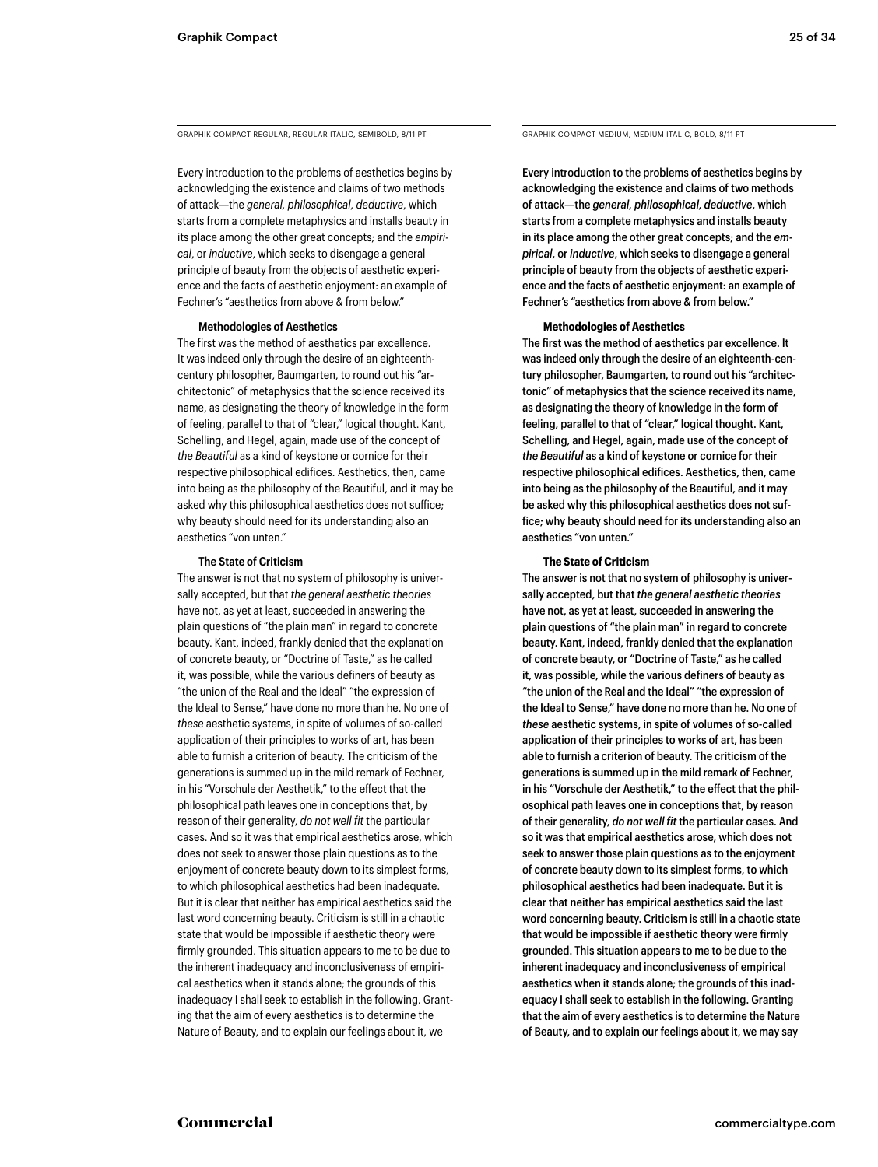GRAPHIK COMPACT REGULAR, REGULAR ITALIC, SEMIBOLD, 8/11 PT GRAPHIK COMPACT MEDIUM, MEDIUM ITALIC, BOLD, 8/11 PT

Every introduction to the problems of aesthetics begins by acknowledging the existence and claims of two methods of attack—the *general, philosophical, deductive*, which starts from a complete metaphysics and installs beauty in its place among the other great concepts; and the *empirical*, or *inductive*, which seeks to disengage a general principle of beauty from the objects of aesthetic experience and the facts of aesthetic enjoyment: an example of Fechner's "aesthetics from above & from below."

### **Methodologies of Aesthetics**

The first was the method of aesthetics par excellence. It was indeed only through the desire of an eighteenthcentury philosopher, Baumgarten, to round out his "architectonic" of metaphysics that the science received its name, as designating the theory of knowledge in the form of feeling, parallel to that of "clear," logical thought. Kant, Schelling, and Hegel, again, made use of the concept of *the Beautiful* as a kind of keystone or cornice for their respective philosophical edifices. Aesthetics, then, came into being as the philosophy of the Beautiful, and it may be asked why this philosophical aesthetics does not suffice; why beauty should need for its understanding also an aesthetics "von unten."

### **The State of Criticism**

The answer is not that no system of philosophy is universally accepted, but that *the general aesthetic theories*  have not, as yet at least, succeeded in answering the plain questions of "the plain man" in regard to concrete beauty. Kant, indeed, frankly denied that the explanation of concrete beauty, or "Doctrine of Taste," as he called it, was possible, while the various definers of beauty as "the union of the Real and the Ideal" "the expression of the Ideal to Sense," have done no more than he. No one of *these* aesthetic systems, in spite of volumes of so-called application of their principles to works of art, has been able to furnish a criterion of beauty. The criticism of the generations is summed up in the mild remark of Fechner, in his "Vorschule der Aesthetik," to the effect that the philosophical path leaves one in conceptions that, by reason of their generality, *do not well fit* the particular cases. And so it was that empirical aesthetics arose, which does not seek to answer those plain questions as to the enjoyment of concrete beauty down to its simplest forms, to which philosophical aesthetics had been inadequate. But it is clear that neither has empirical aesthetics said the last word concerning beauty. Criticism is still in a chaotic state that would be impossible if aesthetic theory were firmly grounded. This situation appears to me to be due to the inherent inadequacy and inconclusiveness of empirical aesthetics when it stands alone; the grounds of this inadequacy I shall seek to establish in the following. Granting that the aim of every aesthetics is to determine the Nature of Beauty, and to explain our feelings about it, we

Every introduction to the problems of aesthetics begins by acknowledging the existence and claims of two methods of attack—the *general, philosophical, deductive*, which starts from a complete metaphysics and installs beauty in its place among the other great concepts; and the *empirical*, or *inductive*, which seeks to disengage a general principle of beauty from the objects of aesthetic experience and the facts of aesthetic enjoyment: an example of Fechner's "aesthetics from above & from below."

### **Methodologies of Aesthetics**

The first was the method of aesthetics par excellence. It was indeed only through the desire of an eighteenth-century philosopher, Baumgarten, to round out his "architectonic" of metaphysics that the science received its name, as designating the theory of knowledge in the form of feeling, parallel to that of "clear," logical thought. Kant, Schelling, and Hegel, again, made use of the concept of *the Beautiful* as a kind of keystone or cornice for their respective philosophical edifices. Aesthetics, then, came into being as the philosophy of the Beautiful, and it may be asked why this philosophical aesthetics does not suffice; why beauty should need for its understanding also an aesthetics "von unten."

### **The State of Criticism**

The answer is not that no system of philosophy is universally accepted, but that *the general aesthetic theories*  have not, as yet at least, succeeded in answering the plain questions of "the plain man" in regard to concrete beauty. Kant, indeed, frankly denied that the explanation of concrete beauty, or "Doctrine of Taste," as he called it, was possible, while the various definers of beauty as "the union of the Real and the Ideal" "the expression of the Ideal to Sense," have done no more than he. No one of *these* aesthetic systems, in spite of volumes of so-called application of their principles to works of art, has been able to furnish a criterion of beauty. The criticism of the generations is summed up in the mild remark of Fechner, in his "Vorschule der Aesthetik," to the effect that the philosophical path leaves one in conceptions that, by reason of their generality, *do not well fit* the particular cases. And so it was that empirical aesthetics arose, which does not seek to answer those plain questions as to the enjoyment of concrete beauty down to its simplest forms, to which philosophical aesthetics had been inadequate. But it is clear that neither has empirical aesthetics said the last word concerning beauty. Criticism is still in a chaotic state that would be impossible if aesthetic theory were firmly grounded. This situation appears to me to be due to the inherent inadequacy and inconclusiveness of empirical aesthetics when it stands alone; the grounds of this inadequacy I shall seek to establish in the following. Granting that the aim of every aesthetics is to determine the Nature of Beauty, and to explain our feelings about it, we may say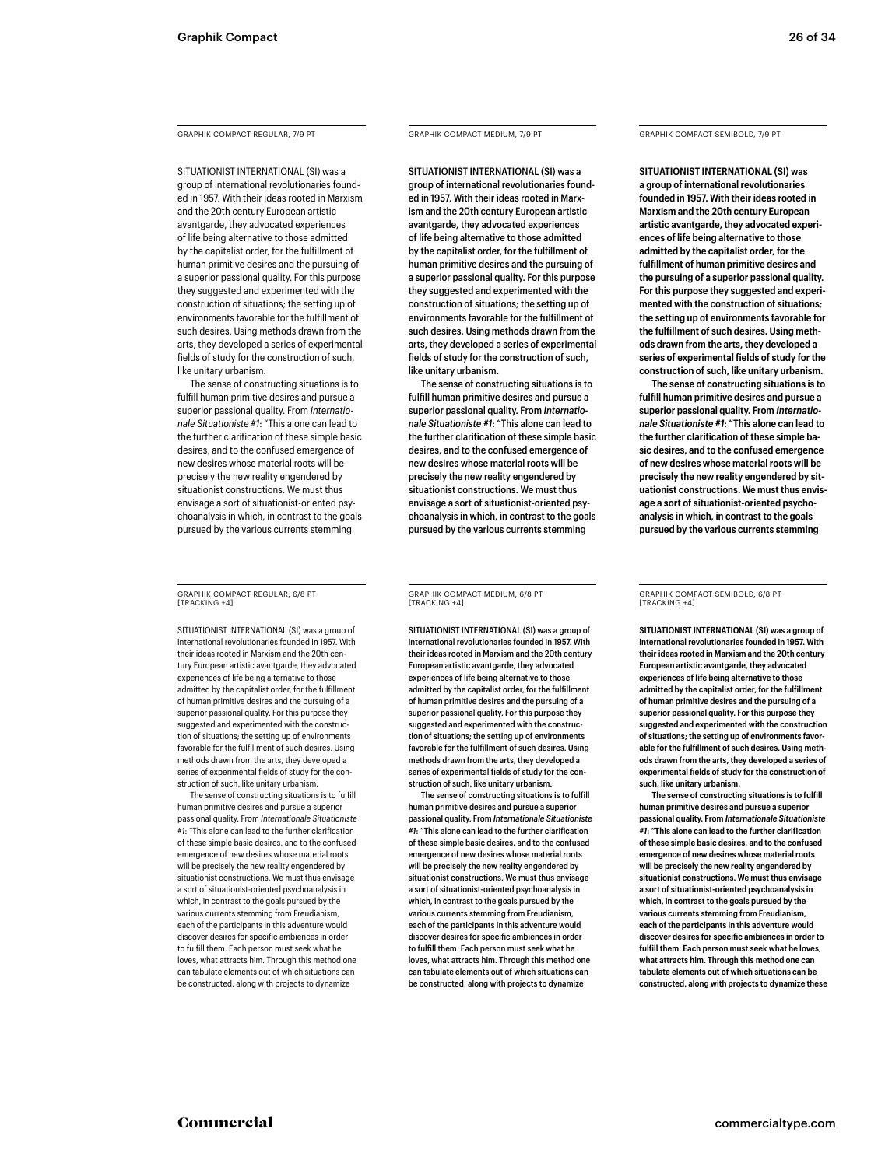GRAPHIK COMPACT REGULAR, 7/9 PT

SITUATIONIST INTERNATIONAL (SI) was a group of international revolutionaries founded in 1957. With their ideas rooted in Marxism and the 20th century European artistic avantgarde, they advocated experiences of life being alternative to those admitted by the capitalist order, for the fulfillment of human primitive desires and the pursuing of a superior passional quality. For this purpose they suggested and experimented with the construction of situations; the setting up of environments favorable for the fulfillment of such desires. Using methods drawn from the arts, they developed a series of experimental fields of study for the construction of such, like unitary urbanism.

The sense of constructing situations is to fulfill human primitive desires and pursue a superior passional quality. From *Internationale Situationiste #1*: "This alone can lead to the further clarification of these simple basic desires, and to the confused emergence of new desires whose material roots will be precisely the new reality engendered by situationist constructions. We must thus envisage a sort of situationist-oriented psychoanalysis in which, in contrast to the goals pursued by the various currents stemming

GRAPHIK COMPACT REGULAR, 6/8 PT [TRACKING +4]

SITUATIONIST INTERNATIONAL (SI) was a group of international revolutionaries founded in 1957. With their ideas rooted in Marxism and the 20th century European artistic avantgarde, they advocated experiences of life being alternative to those admitted by the capitalist order, for the fulfillment of human primitive desires and the pursuing of a superior passional quality. For this purpose they suggested and experimented with the construction of situations; the setting up of environments favorable for the fulfillment of such desires. Using methods drawn from the arts, they developed a series of experimental fields of study for the construction of such, like unitary urbanism.

The sense of constructing situations is to fulfill human primitive desires and pursue a superior passional quality. From *Internationale Situationiste #1*: "This alone can lead to the further clarification of these simple basic desires, and to the confused emergence of new desires whose material roots will be precisely the new reality engendered by situationist constructions. We must thus envisage a sort of situationist-oriented psychoanalysis in which, in contrast to the goals pursued by the various currents stemming from Freudianism, each of the participants in this adventure would discover desires for specific ambiences in order to fulfill them. Each person must seek what he loves, what attracts him. Through this method one can tabulate elements out of which situations can be constructed, along with projects to dynamize

GRAPHIK COMPACT MEDIUM, 7/9 PT

SITUATIONIST INTERNATIONAL (SI) was a group of international revolutionaries founded in 1957. With their ideas rooted in Marxism and the 20th century European artistic avantgarde, they advocated experiences of life being alternative to those admitted by the capitalist order, for the fulfillment of human primitive desires and the pursuing of a superior passional quality. For this purpose they suggested and experimented with the construction of situations; the setting up of environments favorable for the fulfillment of such desires. Using methods drawn from the arts, they developed a series of experimental fields of study for the construction of such, like unitary urbanism.

The sense of constructing situations is to fulfill human primitive desires and pursue a superior passional quality. From *Internationale Situationiste #1*: "This alone can lead to the further clarification of these simple basic desires, and to the confused emergence of new desires whose material roots will be precisely the new reality engendered by situationist constructions. We must thus envisage a sort of situationist-oriented psychoanalysis in which, in contrast to the goals pursued by the various currents stemming

GRAPHIK COMPACT MEDIUM, 6/8 PT [TRACKING +4]

SITUATIONIST INTERNATIONAL (SI) was a group of international revolutionaries founded in 1957. With their ideas rooted in Marxism and the 20th century European artistic avantgarde, they advocated experiences of life being alternative to those admitted by the capitalist order, for the fulfillment of human primitive desires and the pursuing of a superior passional quality. For this purpose they suggested and experimented with the construction of situations; the setting up of environments favorable for the fulfillment of such desires. Using methods drawn from the arts, they developed a series of experimental fields of study for the construction of such, like unitary urbanism.

The sense of constructing situations is to fulfill human primitive desires and pursue a superior passional quality. From *Internationale Situationiste #1*: "This alone can lead to the further clarification of these simple basic desires, and to the confused emergence of new desires whose material roots will be precisely the new reality engendered by situationist constructions. We must thus envisage a sort of situationist-oriented psychoanalysis in which, in contrast to the goals pursued by the various currents stemming from Freudianism, each of the participants in this adventure would discover desires for specific ambiences in order to fulfill them. Each person must seek what he loves, what attracts him. Through this method one can tabulate elements out of which situations can be constructed, along with projects to dynamize

GRAPHIK COMPACT SEMIBOLD, 7/9 PT

**SITUATIONIST INTERNATIONAL (SI) was a group of international revolutionaries founded in 1957. With their ideas rooted in Marxism and the 20th century European artistic avantgarde, they advocated experiences of life being alternative to those admitted by the capitalist order, for the fulfillment of human primitive desires and the pursuing of a superior passional quality. For this purpose they suggested and experimented with the construction of situations; the setting up of environments favorable for the fulfillment of such desires. Using methods drawn from the arts, they developed a series of experimental fields of study for the construction of such, like unitary urbanism.**

**The sense of constructing situations is to fulfill human primitive desires and pursue a superior passional quality. From** *Internationale Situationiste #1***: "This alone can lead to the further clarification of these simple basic desires, and to the confused emergence of new desires whose material roots will be precisely the new reality engendered by situationist constructions. We must thus envisage a sort of situationist-oriented psychoanalysis in which, in contrast to the goals pursued by the various currents stemming** 

GRAPHIK COMPACT SEMIBOLD, 6/8 PT [TRACKING +4]

**SITUATIONIST INTERNATIONAL (SI) was a group of international revolutionaries founded in 1957. With their ideas rooted in Marxism and the 20th century European artistic avantgarde, they advocated experiences of life being alternative to those admitted by the capitalist order, for the fulfillment of human primitive desires and the pursuing of a superior passional quality. For this purpose they suggested and experimented with the construction of situations; the setting up of environments favorable for the fulfillment of such desires. Using methods drawn from the arts, they developed a series of experimental fields of study for the construction of such, like unitary urbanism.**

**The sense of constructing situations is to fulfill human primitive desires and pursue a superior passional quality. From** *Internationale Situationiste #1***: "This alone can lead to the further clarification of these simple basic desires, and to the confused emergence of new desires whose material roots will be precisely the new reality engendered by situationist constructions. We must thus envisage a sort of situationist-oriented psychoanalysis in which, in contrast to the goals pursued by the various currents stemming from Freudianism, each of the participants in this adventure would discover desires for specific ambiences in order to fulfill them. Each person must seek what he loves, what attracts him. Through this method one can tabulate elements out of which situations can be constructed, along with projects to dynamize these**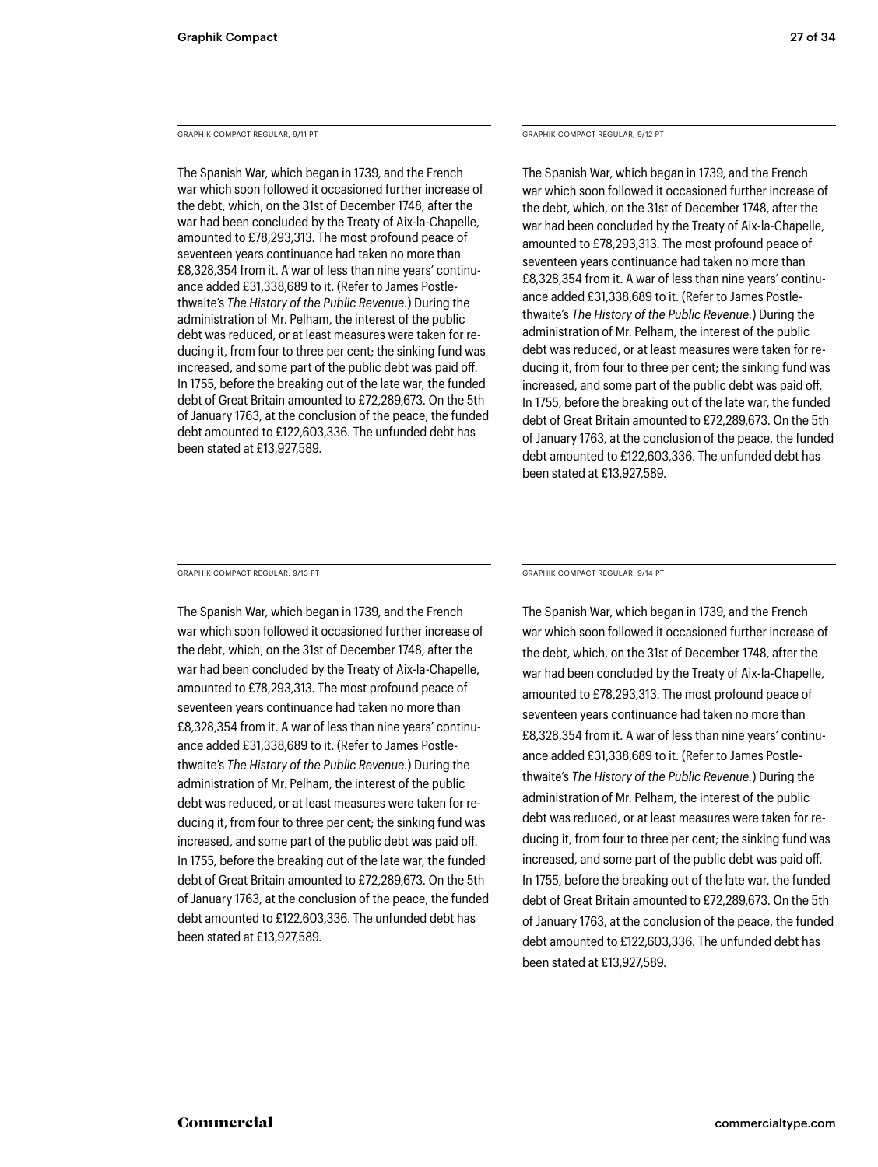GRAPHIK COMPACT REGULAR, 9/11 PT

The Spanish War, which began in 1739, and the French war which soon followed it occasioned further increase of the debt, which, on the 31st of December 1748, after the war had been concluded by the Treaty of Aix-la-Chapelle, amounted to £78,293,313. The most profound peace of seventeen years continuance had taken no more than £8,328,354 from it. A war of less than nine years' continuance added £31,338,689 to it. (Refer to James Postlethwaite's *The History of the Public Revenue.*) During the administration of Mr. Pelham, the interest of the public debt was reduced, or at least measures were taken for reducing it, from four to three per cent; the sinking fund was increased, and some part of the public debt was paid off. In 1755, before the breaking out of the late war, the funded debt of Great Britain amounted to £72,289,673. On the 5th of January 1763, at the conclusion of the peace, the funded debt amounted to £122,603,336. The unfunded debt has been stated at £13,927,589.

GRAPHIK COMPACT REGULAR, 9/12 PT

The Spanish War, which began in 1739, and the French war which soon followed it occasioned further increase of the debt, which, on the 31st of December 1748, after the war had been concluded by the Treaty of Aix-la-Chapelle, amounted to £78,293,313. The most profound peace of seventeen years continuance had taken no more than £8,328,354 from it. A war of less than nine years' continuance added £31,338,689 to it. (Refer to James Postlethwaite's *The History of the Public Revenue.*) During the administration of Mr. Pelham, the interest of the public debt was reduced, or at least measures were taken for reducing it, from four to three per cent; the sinking fund was increased, and some part of the public debt was paid off. In 1755, before the breaking out of the late war, the funded debt of Great Britain amounted to £72,289,673. On the 5th of January 1763, at the conclusion of the peace, the funded debt amounted to £122,603,336. The unfunded debt has been stated at £13,927,589.

GRAPHIK COMPACT REGULAR, 9/13 PT

The Spanish War, which began in 1739, and the French war which soon followed it occasioned further increase of the debt, which, on the 31st of December 1748, after the war had been concluded by the Treaty of Aix-la-Chapelle, amounted to £78,293,313. The most profound peace of seventeen years continuance had taken no more than £8,328,354 from it. A war of less than nine years' continuance added £31,338,689 to it. (Refer to James Postlethwaite's *The History of the Public Revenue.*) During the administration of Mr. Pelham, the interest of the public debt was reduced, or at least measures were taken for reducing it, from four to three per cent; the sinking fund was increased, and some part of the public debt was paid off. In 1755, before the breaking out of the late war, the funded debt of Great Britain amounted to £72,289,673. On the 5th of January 1763, at the conclusion of the peace, the funded debt amounted to £122,603,336. The unfunded debt has been stated at £13,927,589.

GRAPHIK COMPACT REGULAR, 9/14 PT

The Spanish War, which began in 1739, and the French war which soon followed it occasioned further increase of the debt, which, on the 31st of December 1748, after the war had been concluded by the Treaty of Aix-la-Chapelle, amounted to £78,293,313. The most profound peace of seventeen years continuance had taken no more than £8,328,354 from it. A war of less than nine years' continuance added £31,338,689 to it. (Refer to James Postlethwaite's *The History of the Public Revenue.*) During the administration of Mr. Pelham, the interest of the public debt was reduced, or at least measures were taken for reducing it, from four to three per cent; the sinking fund was increased, and some part of the public debt was paid off. In 1755, before the breaking out of the late war, the funded debt of Great Britain amounted to £72,289,673. On the 5th of January 1763, at the conclusion of the peace, the funded debt amounted to £122,603,336. The unfunded debt has been stated at £13,927,589.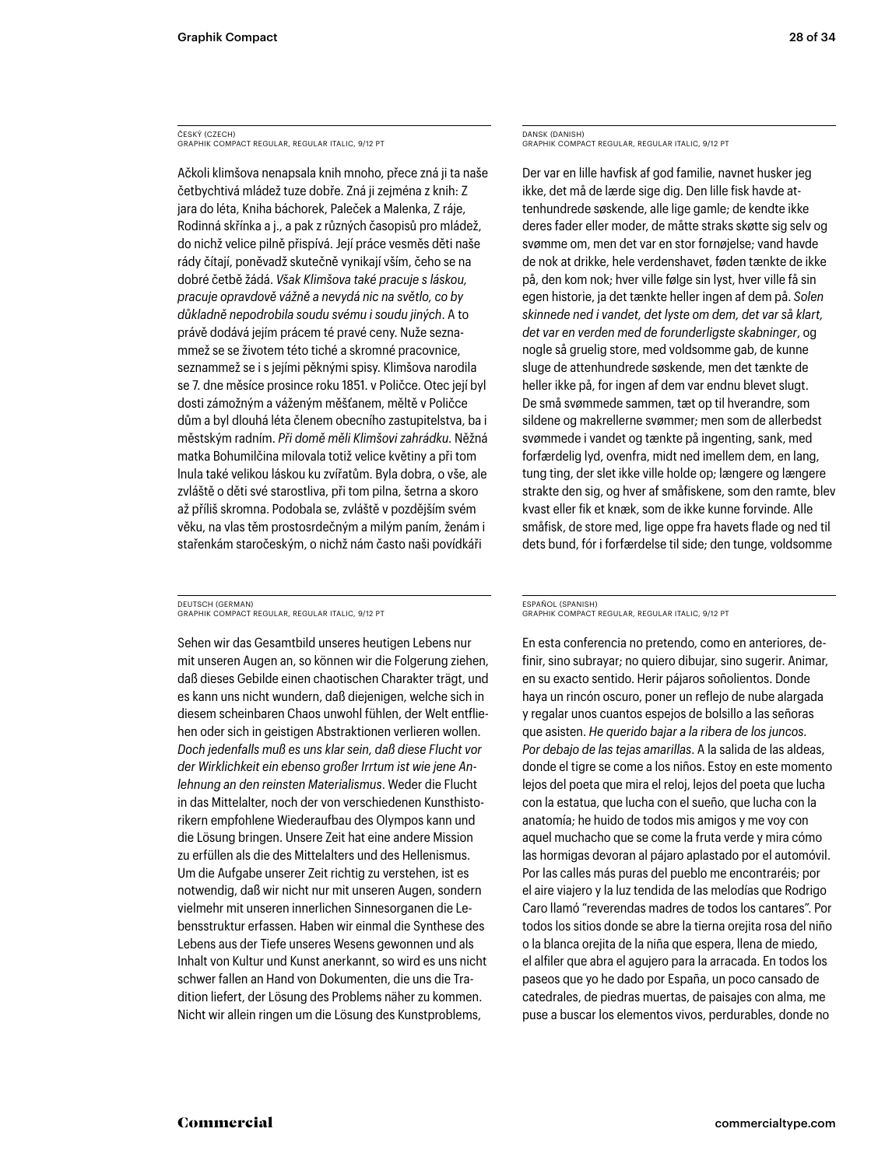ČESKÝ (CZECH) GRAPHIK COMPACT REGULAR, REGULAR ITALIC, 9/12 PT

Ačkoli klimšova nenapsala knih mnoho, přece zná ji ta naše četbychtivá mládež tuze dobře. Zná ji zejména z knih: Z jara do léta, Kniha báchorek, Paleček a Malenka, Z ráje, Rodinná skřínka a j., a pak z různých časopisů pro mládež, do nichž velice pilně přispívá. Její práce vesměs děti naše rády čítají, poněvadž skutečně vynikají vším, čeho se na dobré četbě žádá. *Však Klimšova také pracuje s láskou, pracuje opravdově vážně a nevydá nic na světlo, co by důkladně nepodrobila soudu svému i soudu jiných*. A to právě dodává jejím prácem té pravé ceny. Nuže seznammež se se životem této tiché a skromné pracovnice, seznammež se i s jejími pěknými spisy. Klimšova narodila se 7. dne měsíce prosince roku 1851. v Poličce. Otec její byl dosti zámožným a váženým měšťanem, měltě v Poličce dům a byl dlouhá léta členem obecního zastupitelstva, ba i městským radním. *Při domě měli Klimšovi zahrádku.* Něžná matka Bohumilčina milovala totiž velice květiny a při tom lnula také velikou láskou ku zvířatům. Byla dobra, o vše, ale zvláště o děti své starostliva, při tom pilna, šetrna a skoro až příliš skromna. Podobala se, zvláště v pozdějším svém věku, na vlas těm prostosrdečným a milým paním, ženám i stařenkám staročeským, o nichž nám často naši povídkáři

DEUTSCH (GERMAN) GRAPHIK COMPACT REGULAR, REGULAR ITALIC, 9/12 PT

Sehen wir das Gesamtbild unseres heutigen Lebens nur mit unseren Augen an, so können wir die Folgerung ziehen, daß dieses Gebilde einen chaotischen Charakter trägt, und es kann uns nicht wundern, daß diejenigen, welche sich in diesem scheinbaren Chaos unwohl fühlen, der Welt entfliehen oder sich in geistigen Abstraktionen verlieren wollen. *Doch jedenfalls muß es uns klar sein, daß diese Flucht vor der Wirklichkeit ein ebenso großer Irrtum ist wie jene Anlehnung an den reinsten Materialismus*. Weder die Flucht in das Mittelalter, noch der von verschiedenen Kunsthistorikern empfohlene Wiederaufbau des Olympos kann und die Lösung bringen. Unsere Zeit hat eine andere Mission zu erfüllen als die des Mittelalters und des Hellenismus. Um die Aufgabe unserer Zeit richtig zu verstehen, ist es notwendig, daß wir nicht nur mit unseren Augen, sondern vielmehr mit unseren innerlichen Sinnesorganen die Lebensstruktur erfassen. Haben wir einmal die Synthese des Lebens aus der Tiefe unseres Wesens gewonnen und als Inhalt von Kultur und Kunst anerkannt, so wird es uns nicht schwer fallen an Hand von Dokumenten, die uns die Tradition liefert, der Lösung des Problems näher zu kommen. Nicht wir allein ringen um die Lösung des Kunstproblems,

DANSK (DANISH) GRAPHIK COMPACT REGULAR, REGULAR ITALIC, 9/12 PT

Der var en lille havfisk af god familie, navnet husker jeg ikke, det må de lærde sige dig. Den lille fisk havde attenhundrede søskende, alle lige gamle; de kendte ikke deres fader eller moder, de måtte straks skøtte sig selv og svømme om, men det var en stor fornøjelse; vand havde de nok at drikke, hele verdenshavet, føden tænkte de ikke på, den kom nok; hver ville følge sin lyst, hver ville få sin egen historie, ja det tænkte heller ingen af dem på. *Solen skinnede ned i vandet, det lyste om dem, det var så klart, det var en verden med de forunderligste skabninger*, og nogle så gruelig store, med voldsomme gab, de kunne sluge de attenhundrede søskende, men det tænkte de heller ikke på, for ingen af dem var endnu blevet slugt. De små svømmede sammen, tæt op til hverandre, som sildene og makrellerne svømmer; men som de allerbedst svømmede i vandet og tænkte på ingenting, sank, med forfærdelig lyd, ovenfra, midt ned imellem dem, en lang, tung ting, der slet ikke ville holde op; længere og længere strakte den sig, og hver af småfiskene, som den ramte, blev kvast eller fik et knæk, som de ikke kunne forvinde. Alle småfisk, de store med, lige oppe fra havets flade og ned til dets bund, fór i forfærdelse til side; den tunge, voldsomme

### ESPAÑOL (SPANISH) GRAPHIK COMPACT REGULAR, REGULAR ITALIC, 9/12 PT

En esta conferencia no pretendo, como en anteriores, definir, sino subrayar; no quiero dibujar, sino sugerir. Animar, en su exacto sentido. Herir pájaros soñolientos. Donde haya un rincón oscuro, poner un reflejo de nube alargada y regalar unos cuantos espejos de bolsillo a las señoras que asisten. *He querido bajar a la ribera de los juncos. Por debajo de las tejas amarillas*. A la salida de las aldeas, donde el tigre se come a los niños. Estoy en este momento lejos del poeta que mira el reloj, lejos del poeta que lucha con la estatua, que lucha con el sueño, que lucha con la anatomía; he huido de todos mis amigos y me voy con aquel muchacho que se come la fruta verde y mira cómo las hormigas devoran al pájaro aplastado por el automóvil. Por las calles más puras del pueblo me encontraréis; por el aire viajero y la luz tendida de las melodías que Rodrigo Caro llamó "reverendas madres de todos los cantares". Por todos los sitios donde se abre la tierna orejita rosa del niño o la blanca orejita de la niña que espera, llena de miedo, el alfiler que abra el agujero para la arracada. En todos los paseos que yo he dado por España, un poco cansado de catedrales, de piedras muertas, de paisajes con alma, me puse a buscar los elementos vivos, perdurables, donde no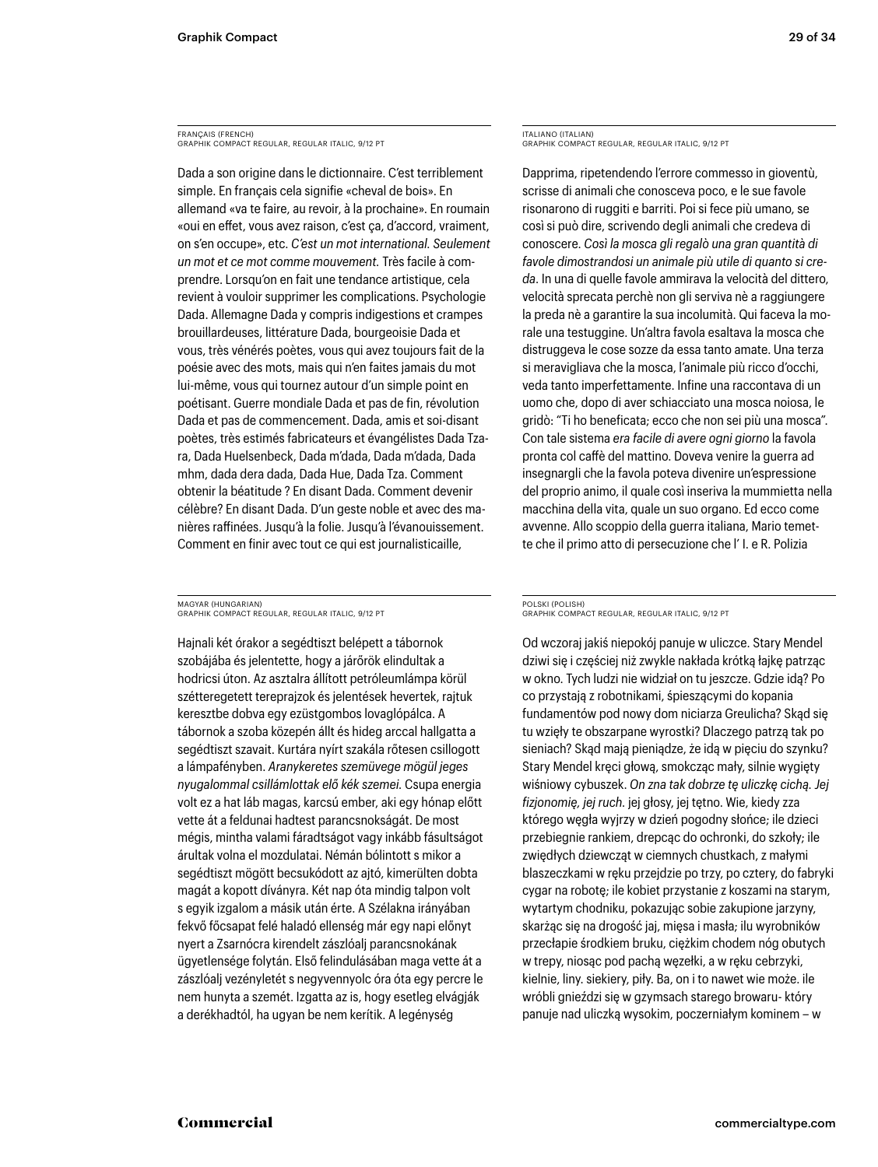FRANÇAIS (FRENCH) GRAPHIK COMPACT REGULAR, REGULAR ITALIC, 9/12 PT

Dada a son origine dans le dictionnaire. C'est terriblement simple. En français cela signifie «cheval de bois». En allemand «va te faire, au revoir, à la prochaine». En roumain «oui en effet, vous avez raison, c'est ça, d'accord, vraiment, on s'en occupe», etc. *C'est un mot international. Seulement un mot et ce mot comme mouvement.* Très facile à comprendre. Lorsqu'on en fait une tendance artistique, cela revient à vouloir supprimer les complications. Psychologie Dada. Allemagne Dada y compris indigestions et crampes brouillardeuses, littérature Dada, bourgeoisie Dada et vous, très vénérés poètes, vous qui avez toujours fait de la poésie avec des mots, mais qui n'en faites jamais du mot lui-même, vous qui tournez autour d'un simple point en poétisant. Guerre mondiale Dada et pas de fin, révolution Dada et pas de commencement. Dada, amis et soi-disant poètes, très estimés fabricateurs et évangélistes Dada Tzara, Dada Huelsenbeck, Dada m'dada, Dada m'dada, Dada mhm, dada dera dada, Dada Hue, Dada Tza. Comment obtenir la béatitude ? En disant Dada. Comment devenir célèbre? En disant Dada. D'un geste noble et avec des manières raffinées. Jusqu'à la folie. Jusqu'à l'évanouissement. Comment en finir avec tout ce qui est journalisticaille,

MAGYAR (HUNGARIAN) GRAPHIK COMPACT REGULAR, REGULAR ITALIC, 9/12 PT

Hajnali két órakor a segédtiszt belépett a tábornok szobájába és jelentette, hogy a járőrök elindultak a hodricsi úton. Az asztalra állított petróleumlámpa körül szétteregetett tereprajzok és jelentések hevertek, rajtuk keresztbe dobva egy ezüstgombos lovaglópálca. A tábornok a szoba közepén állt és hideg arccal hallgatta a segédtiszt szavait. Kurtára nyírt szakála rőtesen csillogott a lámpafényben. *Aranykeretes szemüvege mögül jeges nyugalommal csillámlottak elő kék szemei.* Csupa energia volt ez a hat láb magas, karcsú ember, aki egy hónap előtt vette át a feldunai hadtest parancsnokságát. De most mégis, mintha valami fáradtságot vagy inkább fásultságot árultak volna el mozdulatai. Némán bólintott s mikor a segédtiszt mögött becsukódott az ajtó, kimerülten dobta magát a kopott díványra. Két nap óta mindig talpon volt s egyik izgalom a másik után érte. A Szélakna irányában fekvő főcsapat felé haladó ellenség már egy napi előnyt nyert a Zsarnócra kirendelt zászlóalj parancsnokának ügyetlensége folytán. Első felindulásában maga vette át a zászlóalj vezényletét s negyvennyolc óra óta egy percre le nem hunyta a szemét. Izgatta az is, hogy esetleg elvágják a derékhadtól, ha ugyan be nem kerítik. A legénység

ITALIANO (ITALIAN) GRAPHIK COMPACT REGULAR, REGULAR ITALIC, 9/12 PT

Dapprima, ripetendendo l'errore commesso in gioventù, scrisse di animali che conosceva poco, e le sue favole risonarono di ruggiti e barriti. Poi si fece più umano, se così si può dire, scrivendo degli animali che credeva di conoscere. *Così la mosca gli regalò una gran quantità di favole dimostrandosi un animale più utile di quanto si creda*. In una di quelle favole ammirava la velocità del dittero, velocità sprecata perchè non gli serviva nè a raggiungere la preda nè a garantire la sua incolumità. Qui faceva la morale una testuggine. Un'altra favola esaltava la mosca che distruggeva le cose sozze da essa tanto amate. Una terza si meravigliava che la mosca, l'animale più ricco d'occhi, veda tanto imperfettamente. Infine una raccontava di un uomo che, dopo di aver schiacciato una mosca noiosa, le gridò: "Ti ho beneficata; ecco che non sei più una mosca". Con tale sistema *era facile di avere ogni giorno* la favola pronta col caffè del mattino. Doveva venire la guerra ad insegnargli che la favola poteva divenire un'espressione del proprio animo, il quale così inseriva la mummietta nella macchina della vita, quale un suo organo. Ed ecco come avvenne. Allo scoppio della guerra italiana, Mario temette che il primo atto di persecuzione che l' I. e R. Polizia

### POLSKI (POLISH) GRAPHIK COMPACT REGULAR, REGULAR ITALIC, 9/12 PT

Od wczoraj jakiś niepokój panuje w uliczce. Stary Mendel dziwi się i częściej niż zwykle nakłada krótką łajkę patrząc w okno. Tych ludzi nie widział on tu jeszcze. Gdzie idą? Po co przystają z robotnikami, śpieszącymi do kopania fundamentów pod nowy dom niciarza Greulicha? Skąd się tu wzięły te obszarpane wyrostki? Dlaczego patrzą tak po sieniach? Skąd mają pieniądze, że idą w pięciu do szynku? Stary Mendel kręci głową, smokcząc mały, silnie wygięty wiśniowy cybuszek. *On zna tak dobrze tę uliczkę cichą. Jej fizjonomię, jej ruch.* jej głosy, jej tętno. Wie, kiedy zza którego węgła wyjrzy w dzień pogodny słońce; ile dzieci przebiegnie rankiem, drepcąc do ochronki, do szkoły; ile zwiędłych dziewcząt w ciemnych chustkach, z małymi blaszeczkami w ręku przejdzie po trzy, po cztery, do fabryki cygar na robotę; ile kobiet przystanie z koszami na starym, wytartym chodniku, pokazując sobie zakupione jarzyny, skarżąc się na drogość jaj, mięsa i masła; ilu wyrobników przecłapie środkiem bruku, ciężkim chodem nóg obutych w trepy, niosąc pod pachą węzełki, a w ręku cebrzyki, kielnie, liny. siekiery, piły. Ba, on i to nawet wie może. ile wróbli gnieździ się w gzymsach starego browaru- który panuje nad uliczką wysokim, poczerniałym kominem – w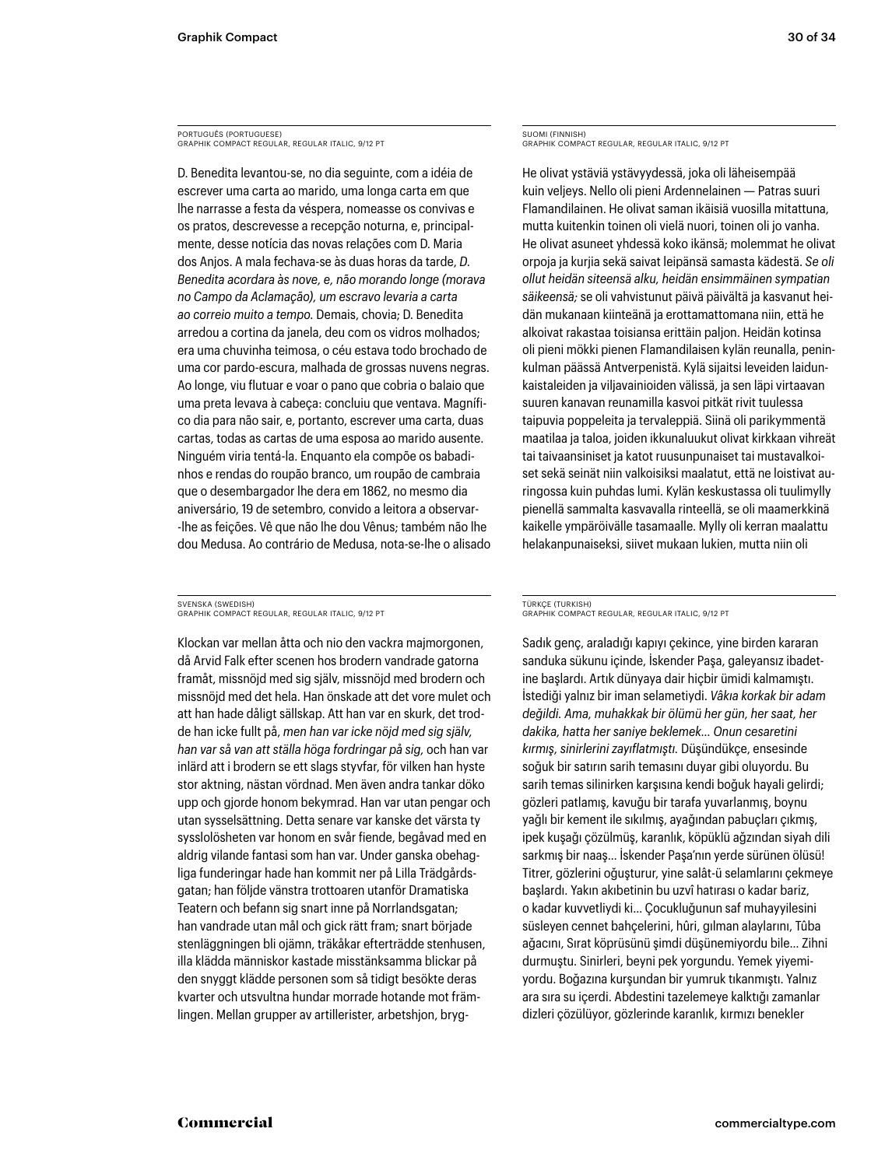PORTUGUÊS (PORTUGUESE) GRAPHIK COMPACT REGULAR, REGULAR ITALIC, 9/12 PT

D. Benedita levantou-se, no dia seguinte, com a idéia de escrever uma carta ao marido, uma longa carta em que lhe narrasse a festa da véspera, nomeasse os convivas e os pratos, descrevesse a recepção noturna, e, principalmente, desse notícia das novas relações com D. Maria dos Anjos. A mala fechava-se às duas horas da tarde, *D. Benedita acordara às nove, e, não morando longe (morava no Campo da Aclamação), um escravo levaria a carta ao correio muito a tempo.* Demais, chovia; D. Benedita arredou a cortina da janela, deu com os vidros molhados; era uma chuvinha teimosa, o céu estava todo brochado de uma cor pardo-escura, malhada de grossas nuvens negras. Ao longe, viu flutuar e voar o pano que cobria o balaio que uma preta levava à cabeça: concluiu que ventava. Magnífico dia para não sair, e, portanto, escrever uma carta, duas cartas, todas as cartas de uma esposa ao marido ausente. Ninguém viria tentá-la. Enquanto ela compõe os babadinhos e rendas do roupão branco, um roupão de cambraia que o desembargador lhe dera em 1862, no mesmo dia aniversário, 19 de setembro, convido a leitora a observar- -lhe as feições. Vê que não lhe dou Vênus; também não lhe dou Medusa. Ao contrário de Medusa, nota-se-lhe o alisado

SVENSKA (SWEDISH) GRAPHIK COMPACT REGULAR, REGULAR ITALIC, 9/12 PT

Klockan var mellan åtta och nio den vackra majmorgonen, då Arvid Falk efter scenen hos brodern vandrade gatorna framåt, missnöjd med sig själv, missnöjd med brodern och missnöjd med det hela. Han önskade att det vore mulet och att han hade dåligt sällskap. Att han var en skurk, det trodde han icke fullt på, *men han var icke nöjd med sig själv, han var så van att ställa höga fordringar på sig,* och han var inlärd att i brodern se ett slags styvfar, för vilken han hyste stor aktning, nästan vördnad. Men även andra tankar döko upp och gjorde honom bekymrad. Han var utan pengar och utan sysselsättning. Detta senare var kanske det värsta ty sysslolösheten var honom en svår fiende, begåvad med en aldrig vilande fantasi som han var. Under ganska obehagliga funderingar hade han kommit ner på Lilla Trädgårdsgatan; han följde vänstra trottoaren utanför Dramatiska Teatern och befann sig snart inne på Norrlandsgatan; han vandrade utan mål och gick rätt fram; snart började stenläggningen bli ojämn, träkåkar efterträdde stenhusen, illa klädda människor kastade misstänksamma blickar på den snyggt klädde personen som så tidigt besökte deras kvarter och utsvultna hundar morrade hotande mot främlingen. Mellan grupper av artillerister, arbetshjon, brygSUOMI (FINNISH) GRAPHIK COMPACT REGULAR, REGULAR ITALIC, 9/12 PT

He olivat ystäviä ystävyydessä, joka oli läheisempää kuin veljeys. Nello oli pieni Ardennelainen — Patras suuri Flamandilainen. He olivat saman ikäisiä vuosilla mitattuna, mutta kuitenkin toinen oli vielä nuori, toinen oli jo vanha. He olivat asuneet yhdessä koko ikänsä; molemmat he olivat orpoja ja kurjia sekä saivat leipänsä samasta kädestä. *Se oli ollut heidän siteensä alku, heidän ensimmäinen sympatian säikeensä;* se oli vahvistunut päivä päivältä ja kasvanut heidän mukanaan kiinteänä ja erottamattomana niin, että he alkoivat rakastaa toisiansa erittäin paljon. Heidän kotinsa oli pieni mökki pienen Flamandilaisen kylän reunalla, peninkulman päässä Antverpenistä. Kylä sijaitsi leveiden laidunkaistaleiden ja viljavainioiden välissä, ja sen läpi virtaavan suuren kanavan reunamilla kasvoi pitkät rivit tuulessa taipuvia poppeleita ja tervaleppiä. Siinä oli parikymmentä maatilaa ja taloa, joiden ikkunaluukut olivat kirkkaan vihreät tai taivaansiniset ja katot ruusunpunaiset tai mustavalkoiset sekä seinät niin valkoisiksi maalatut, että ne loistivat auringossa kuin puhdas lumi. Kylän keskustassa oli tuulimylly pienellä sammalta kasvavalla rinteellä, se oli maamerkkinä kaikelle ympäröivälle tasamaalle. Mylly oli kerran maalattu helakanpunaiseksi, siivet mukaan lukien, mutta niin oli

### TÜRKÇE (TURKISH) GRAPHIK COMPACT REGULAR, REGULAR ITALIC, 9/12 PT

Sadık genç, araladığı kapıyı çekince, yine birden kararan sanduka sükunu içinde, İskender Paşa, galeyansız ibadetine başlardı. Artık dünyaya dair hiçbir ümidi kalmamıştı. İstediği yalnız bir iman selametiydi. *Vâkıa korkak bir adam değildi. Ama, muhakkak bir ölümü her gün, her saat, her dakika, hatta her saniye beklemek… Onun cesaretini kırmış, sinirlerini zayıflatmıştı.* Düşündükçe, ensesinde soğuk bir satırın sarih temasını duyar gibi oluyordu. Bu sarih temas silinirken karşısına kendi boğuk hayali gelirdi; gözleri patlamış, kavuğu bir tarafa yuvarlanmış, boynu yağlı bir kement ile sıkılmış, ayağından pabuçları çıkmış, ipek kuşağı çözülmüş, karanlık, köpüklü ağzından siyah dili sarkmış bir naaş… İskender Paşa'nın yerde sürünen ölüsü! Titrer, gözlerini oğuşturur, yine salât-ü selamlarını çekmeye başlardı. Yakın akıbetinin bu uzvî hatırası o kadar bariz, o kadar kuvvetliydi ki… Çocukluğunun saf muhayyilesini süsleyen cennet bahçelerini, hûri, gılman alaylarını, Tûba ağacını, Sırat köprüsünü şimdi düşünemiyordu bile… Zihni durmuştu. Sinirleri, beyni pek yorgundu. Yemek yiyemiyordu. Boğazına kurşundan bir yumruk tıkanmıştı. Yalnız ara sıra su içerdi. Abdestini tazelemeye kalktığı zamanlar dizleri çözülüyor, gözlerinde karanlık, kırmızı benekler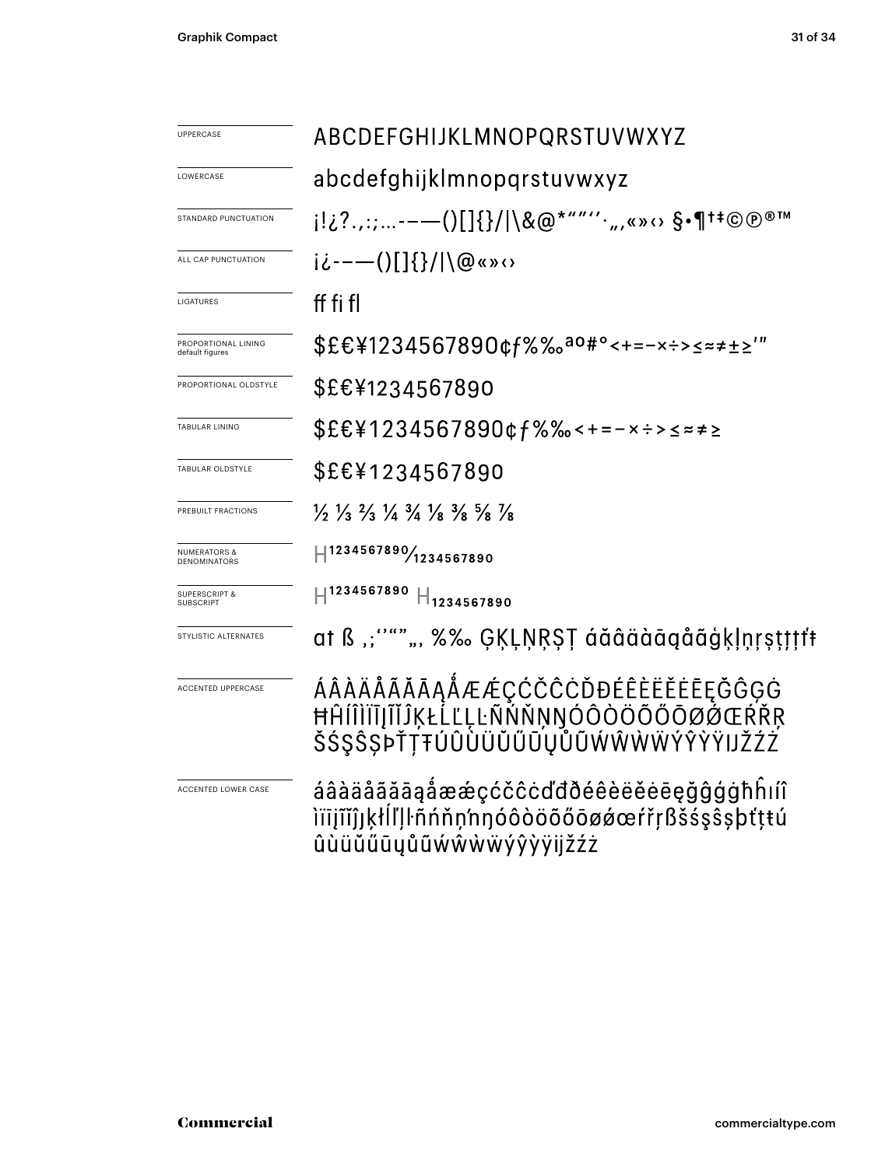| UPPERCASE                              | ABCDEFGHIJKLMNOPQRSTUVWXYZ                                                                                                    |  |  |
|----------------------------------------|-------------------------------------------------------------------------------------------------------------------------------|--|--|
| LOWERCASE                              | abcdefghijklmnopqrstuvwxyz                                                                                                    |  |  |
| STANDARD PUNCTUATION                   | i!¿?.,:;---()[]{}/ \&@*""''·",«»↔ §•¶†‡©℗®™                                                                                   |  |  |
| ALL CAP PUNCTUATION                    | ii---()[]{}/ \@«»<>                                                                                                           |  |  |
| LIGATURES                              | ff fi fl                                                                                                                      |  |  |
| PROPORTIONAL LINING<br>default figures | \$£€¥1234567890¢f%‰ <sup>ao#</sup> °<+=-×÷>≤≈≠±≥'"                                                                            |  |  |
| PROPORTIONAL OLDSTYLE                  | \$£€¥1234567890                                                                                                               |  |  |
| <b>TABULAR LINING</b>                  | \$£€¥1234567890¢f%‰<+=-×÷>≤≈≠≥                                                                                                |  |  |
| TABULAR OLDSTYLE                       | \$£€¥1234567890                                                                                                               |  |  |
| PREBUILT FRACTIONS                     | $\frac{1}{2}$ $\frac{1}{3}$ $\frac{2}{3}$ $\frac{1}{4}$ $\frac{3}{4}$ $\frac{1}{8}$ $\frac{3}{8}$ $\frac{5}{8}$ $\frac{1}{8}$ |  |  |
| NUMERATORS &<br>DENOMINATORS           | H1234567890/1234567890                                                                                                        |  |  |
| <b>SUPERSCRIPT &amp;</b><br>SUBSCRIPT  | $\text{H}^{1234567890}$ $\text{H}_{1234567890}$                                                                               |  |  |
| STYLISTIC ALTERNATES                   | at ß ,;''""", %‰ ĢĶĻŅŖŞŢ áăâäàāąåãģķļņṛṣṭţţţ*                                                                                 |  |  |
| ACCENTED UPPERCASE                     | ÁÂÀÄÅÃĂĀĄÅÆÆÇĆČĈĊĎĐÉÊÈËĖĒĘĞĜĢĠ<br>ĦĤĺÎÌĬĨĮĨĬĴĶŁĹĽĻĿÑŇŇŅŊÓÔÒÖŐŐŌØŎŒŔŔŖ<br>ŠŚŞŜSPŤŢŦÚÛÙÜŬŰŨŲŮŨŴŴŴŴŶŶŸIJŽŹŹ                      |  |  |
| ACCENTED LOWER CASE                    | áâàäåãăāąåææçćčĉċďđðéêèëěēęğĝģġħĥıíî<br>ìïïįĩǐĵjķłĺľļŀñńňņ'nŋóôòöõőōøǿœŕřŗßšśşŝşþťţŧú<br>ûùüŭűūyůũẃŵẁẅýŷỳÿijžźż               |  |  |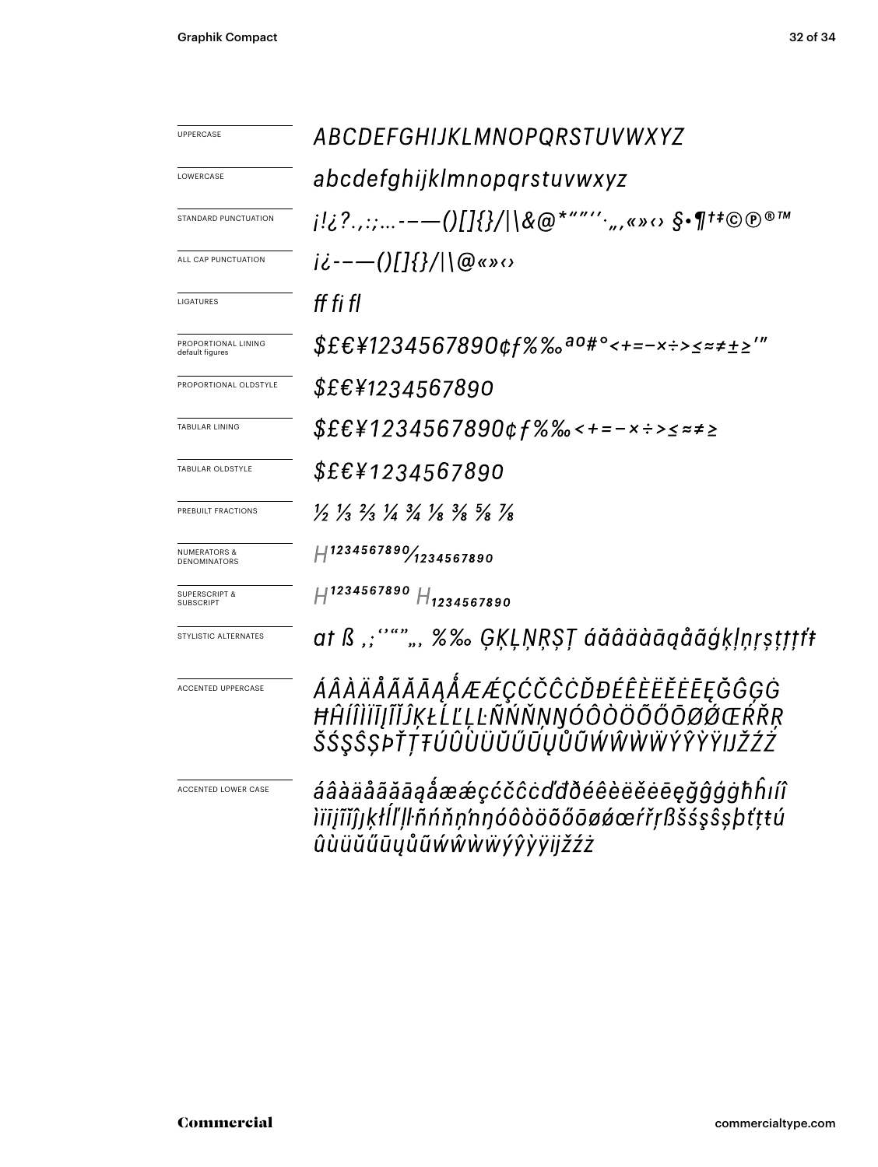| <b>UPPERCASE</b>                        | ABCDEFGHIJKLMNOPQRSTUVWXYZ                                                                                                    |  |  |
|-----------------------------------------|-------------------------------------------------------------------------------------------------------------------------------|--|--|
| LOWERCASE                               | abcdefghijklmnopqrstuvwxyz                                                                                                    |  |  |
| STANDARD PUNCTUATION                    |                                                                                                                               |  |  |
| ALL CAP PUNCTUATION                     | $i\dot{\zeta}$ ---()[]{}/ \@«» $\omega$                                                                                       |  |  |
| LIGATURES                               | ff fi fl                                                                                                                      |  |  |
| PROPORTIONAL LINING<br>default figures  | \$£€¥1234567890¢f%‰ <sup>ao#</sup> °<+=-×÷>≤≈≠±≥′″                                                                            |  |  |
| PROPORTIONAL OLDSTYLE                   | \$£€¥1234567890                                                                                                               |  |  |
| TABULAR LINING                          | \$£€¥1234567890¢f%‰<+=-×÷>≤≈≠≥                                                                                                |  |  |
| TABULAR OLDSTYLE                        | <i>\$£€¥1234567890</i>                                                                                                        |  |  |
| PREBUILT FRACTIONS                      | $\frac{1}{2}$ $\frac{1}{3}$ $\frac{2}{3}$ $\frac{1}{4}$ $\frac{3}{4}$ $\frac{1}{8}$ $\frac{3}{8}$ $\frac{5}{8}$ $\frac{1}{8}$ |  |  |
| <b>NUMERATORS &amp;</b><br>DENOMINATORS | H1234567890/1234567890                                                                                                        |  |  |
| <b>SUPERSCRIPT &amp;</b>                | $H^{1234567890}$ $H_{1234567890}$                                                                                             |  |  |
| STYLISTIC ALTERNATES                    | at ß ,;''""", %‰ ĢĶĻŅŖŞŢ áăâäàāqåãģķļņŗṣṭţţţf                                                                                 |  |  |
| ACCENTED UPPERCASE                      | ÁÂÀÄÅÃĂĀĄÅÆÆÇĆČĈĊĎĐÉÊÈËĔĒĘĞĜĢĠ<br>ĦĤĺÎÌĬĪĮĨĬĴĶŁĹĽĻĿÑŃŇŅŊÓÔÒÖÕŐŌØØŒŔŘŖ<br>ŠŚŞŜŞPŤŢŦÚÛÛÜŬŰŨŲŮŨŴŴŴŴŶŶŶŸIJŽŹŹ                     |  |  |
| ACCENTED LOWER CASE                     | áâàäåããāaåææçćčĉċďđðéêèëĕēegğĝģġħĥıíî<br>ìïïįĩĭĵjķłĺľļŀñńňņ'nŋóôòöõőōøǿœŕřŗßšśşŝşþťţŧú<br>ûùüŭűūyůũẃŵẁẅýŷỳÿijžźż              |  |  |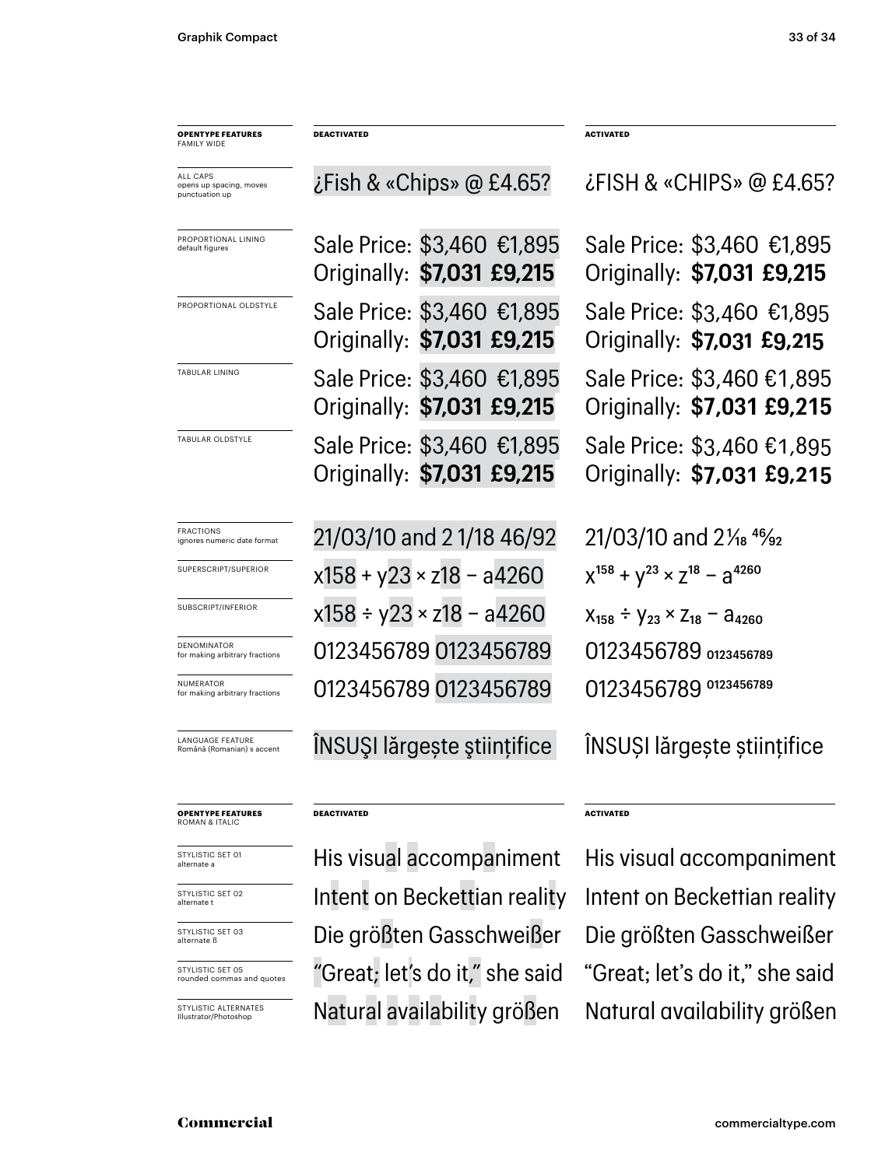| <b>OPENTYPE FEATURES</b><br><b>FAMILY WIDE</b>        | <b>DEACTIVATED</b>                                       | <b>ACTIVATED</b>                                         |
|-------------------------------------------------------|----------------------------------------------------------|----------------------------------------------------------|
| ALL CAPS<br>opens up spacing, moves<br>punctuation up | $\zeta$ Fish & «Chips» @ £4.65?                          | ¿FISH & «CHIPS» @ £4.65?                                 |
| PROPORTIONAL LINING<br>default figures                | Sale Price: \$3,460 €1,895<br>Originally: \$7,031 £9,215 | Sale Price: \$3,460 €1,895<br>Originally: \$7,031 £9,215 |
| PROPORTIONAL OLDSTYLE                                 | Sale Price: \$3,460 €1,895<br>Originally: \$7,031 £9,215 | Sale Price: \$3,460 €1,895<br>Originally: \$7,031 £9,215 |
| TABULAR LINING                                        | Sale Price: \$3,460 €1,895<br>Originally: \$7,031 £9,215 | Sale Price: \$3,460 €1,895<br>Originally: \$7,031 £9,215 |
| TABULAR OLDSTYLE                                      | Sale Price: \$3,460 €1,895<br>Originally: \$7,031 £9,215 | Sale Price: \$3,460 €1,895<br>Originally: \$7,031 £9,215 |
| <b>FRACTIONS</b><br>ignores numeric date format       | 21/03/10 and 21/18 46/92                                 | 21/03/10 and 21/ <sub>18</sub> 46/ <sub>92</sub>         |
| SUPERSCRIPT/SUPERIOR                                  | $x158 + y23 \times z18 - a4260$                          | $X^{158} + Y^{23} \times Z^{18} - Z^{4260}$              |
| SUBSCRIPT/INFERIOR                                    | $x158 \div y23 \times z18 - a4260$                       | $X_{158} \div Y_{23} \times Z_{18} - A_{4260}$           |
| DENOMINATOR<br>for making arbitrary fractions         | 0123456789 0123456789                                    | 0123456789 0123456789                                    |
| NUMERATOR<br>for making arbitrary fractions           | 0123456789 0123456789                                    | 0123456789 0123456789                                    |
| <b>LANGUAGE FEATURE</b><br>Română (Romanian) s accent | ÎNSUȘI lărgește științifice                              | INSUȘI lărgește științifice                              |
| <b>OPENTYPE FEATURES</b><br>ROMAN & ITALIC            | <b>DEACTIVATED</b>                                       | <b>ACTIVATED</b>                                         |
| STYLISTIC SET 01<br>alternate a                       | His visual accompaniment                                 | His visual accompaniment                                 |

STYLISTIC SET 03 alternate ß STYLISTIC SET 02 alternate t

STYLISTIC SET 05 rounded commas and quotes

STYLISTIC ALTERNATES Illustrator/Photoshop

Intent on Beckettian reality Intent on Beckettian reality Die größten Gasschweißer Die größten Gasschweißer "Great; let's do it," she said "Great; let's do it," she said Natural availability größen Natural availability größen